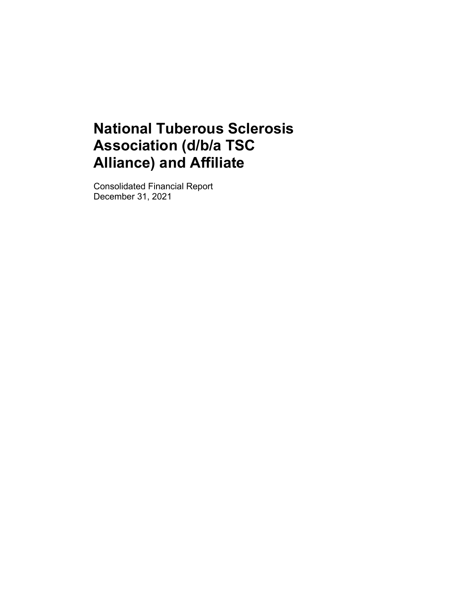Consolidated Financial Report December 31, 2021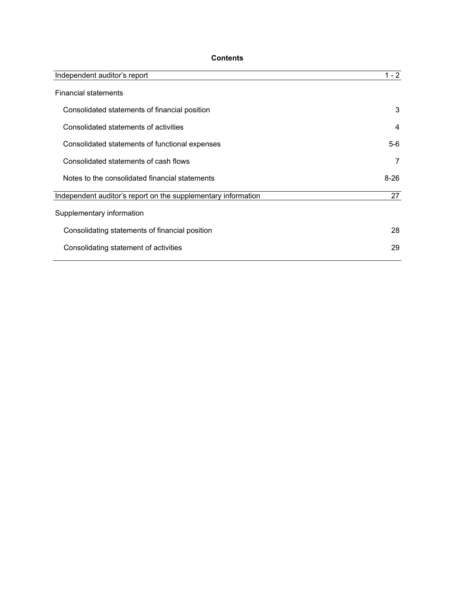# **Contents**

| 1 - 2  |
|--------|
|        |
| 3      |
| 4      |
| $5-6$  |
| 7      |
| $8-26$ |
| 27     |
|        |
| 28     |
| 29     |
|        |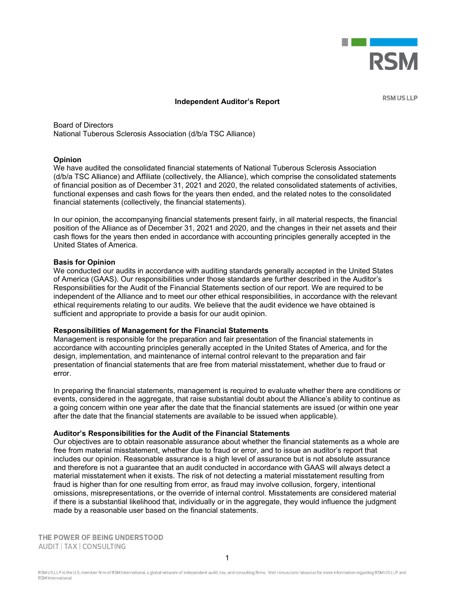

#### **Independent Auditor's Report**

**RSM US LLP** 

Board of Directors National Tuberous Sclerosis Association (d/b/a TSC Alliance)

#### **Opinion**

We have audited the consolidated financial statements of National Tuberous Sclerosis Association (d/b/a TSC Alliance) and Affiliate (collectively, the Alliance), which comprise the consolidated statements of financial position as of December 31, 2021 and 2020, the related consolidated statements of activities, functional expenses and cash flows for the years then ended, and the related notes to the consolidated financial statements (collectively, the financial statements).

In our opinion, the accompanying financial statements present fairly, in all material respects, the financial position of the Alliance as of December 31, 2021 and 2020, and the changes in their net assets and their cash flows for the years then ended in accordance with accounting principles generally accepted in the United States of America.

## **Basis for Opinion**

We conducted our audits in accordance with auditing standards generally accepted in the United States of America (GAAS). Our responsibilities under those standards are further described in the Auditor's Responsibilities for the Audit of the Financial Statements section of our report. We are required to be independent of the Alliance and to meet our other ethical responsibilities, in accordance with the relevant ethical requirements relating to our audits. We believe that the audit evidence we have obtained is sufficient and appropriate to provide a basis for our audit opinion.

#### **Responsibilities of Management for the Financial Statements**

Management is responsible for the preparation and fair presentation of the financial statements in accordance with accounting principles generally accepted in the United States of America, and for the design, implementation, and maintenance of internal control relevant to the preparation and fair presentation of financial statements that are free from material misstatement, whether due to fraud or error.

In preparing the financial statements, management is required to evaluate whether there are conditions or events, considered in the aggregate, that raise substantial doubt about the Alliance's ability to continue as a going concern within one year after the date that the financial statements are issued (or within one year after the date that the financial statements are available to be issued when applicable).

#### **Auditor's Responsibilities for the Audit of the Financial Statements**

Our objectives are to obtain reasonable assurance about whether the financial statements as a whole are free from material misstatement, whether due to fraud or error, and to issue an auditor's report that includes our opinion. Reasonable assurance is a high level of assurance but is not absolute assurance and therefore is not a guarantee that an audit conducted in accordance with GAAS will always detect a material misstatement when it exists. The risk of not detecting a material misstatement resulting from fraud is higher than for one resulting from error, as fraud may involve collusion, forgery, intentional omissions, misrepresentations, or the override of internal control. Misstatements are considered material if there is a substantial likelihood that, individually or in the aggregate, they would influence the judgment made by a reasonable user based on the financial statements.

THE POWER OF BEING UNDERSTOOD AUDIT | TAX | CONSULTING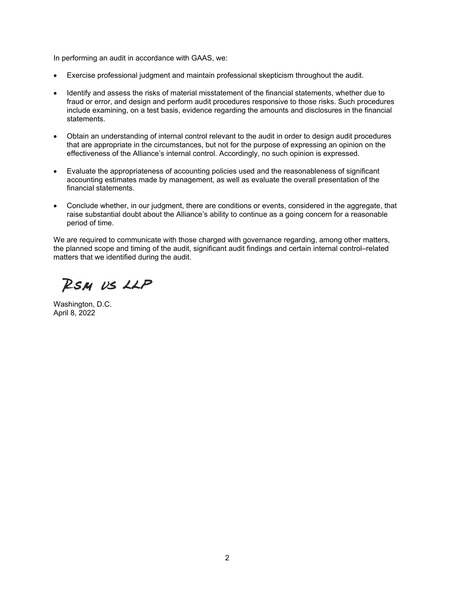In performing an audit in accordance with GAAS, we:

- Exercise professional judgment and maintain professional skepticism throughout the audit.
- Identify and assess the risks of material misstatement of the financial statements, whether due to fraud or error, and design and perform audit procedures responsive to those risks. Such procedures include examining, on a test basis, evidence regarding the amounts and disclosures in the financial statements.
- Obtain an understanding of internal control relevant to the audit in order to design audit procedures that are appropriate in the circumstances, but not for the purpose of expressing an opinion on the effectiveness of the Alliance's internal control. Accordingly, no such opinion is expressed.
- Evaluate the appropriateness of accounting policies used and the reasonableness of significant accounting estimates made by management, as well as evaluate the overall presentation of the financial statements.
- Conclude whether, in our judgment, there are conditions or events, considered in the aggregate, that raise substantial doubt about the Alliance's ability to continue as a going concern for a reasonable period of time.

We are required to communicate with those charged with governance regarding, among other matters, the planned scope and timing of the audit, significant audit findings and certain internal control–related matters that we identified during the audit.

RSM US LLP

Washington, D.C. April 8, 2022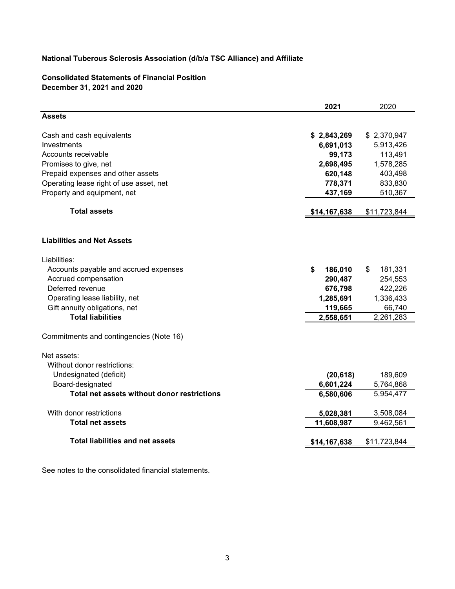# **Consolidated Statements of Financial Position December 31, 2021 and 2020**

|                                             | 2021          | 2020          |
|---------------------------------------------|---------------|---------------|
| <b>Assets</b>                               |               |               |
| Cash and cash equivalents                   | \$2,843,269   | \$2,370,947   |
| Investments                                 | 6,691,013     | 5,913,426     |
| Accounts receivable                         | 99,173        | 113,491       |
| Promises to give, net                       | 2,698,495     | 1,578,285     |
| Prepaid expenses and other assets           | 620,148       | 403,498       |
| Operating lease right of use asset, net     | 778,371       | 833,830       |
| Property and equipment, net                 | 437,169       | 510,367       |
| <b>Total assets</b>                         | \$14,167,638  | \$11,723,844  |
| <b>Liabilities and Net Assets</b>           |               |               |
| Liabilities:                                |               |               |
| Accounts payable and accrued expenses       | \$<br>186,010 | 181,331<br>\$ |
| Accrued compensation                        | 290,487       | 254,553       |
| Deferred revenue                            | 676,798       | 422,226       |
| Operating lease liability, net              | 1,285,691     | 1,336,433     |
| Gift annuity obligations, net               | 119,665       | 66,740        |
| <b>Total liabilities</b>                    | 2,558,651     | 2,261,283     |
| Commitments and contingencies (Note 16)     |               |               |
| Net assets:                                 |               |               |
| Without donor restrictions:                 |               |               |
| Undesignated (deficit)                      | (20, 618)     | 189,609       |
| Board-designated                            | 6,601,224     | 5,764,868     |
| Total net assets without donor restrictions | 6,580,606     | 5,954,477     |
| With donor restrictions                     | 5,028,381     | 3,508,084     |
| <b>Total net assets</b>                     | 11,608,987    | 9,462,561     |
| <b>Total liabilities and net assets</b>     | \$14,167,638  | \$11,723,844  |
|                                             |               |               |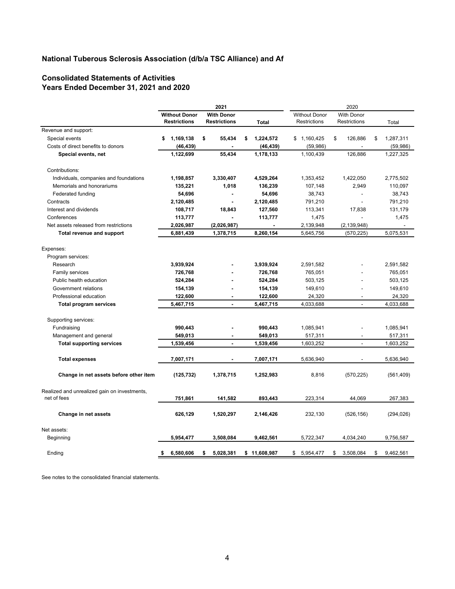# **Consolidated Statements of Activities Years Ended December 31, 2021 and 2020**

|                                                             |                      | 2021                |                 | 2020                 |                          |                 |  |
|-------------------------------------------------------------|----------------------|---------------------|-----------------|----------------------|--------------------------|-----------------|--|
|                                                             | <b>Without Donor</b> | <b>With Donor</b>   |                 | <b>Without Donor</b> | <b>With Donor</b>        |                 |  |
|                                                             | <b>Restrictions</b>  | <b>Restrictions</b> | Total           | Restrictions         | Restrictions             | Total           |  |
| Revenue and support:                                        |                      |                     |                 |                      |                          |                 |  |
| Special events                                              | 1,169,138<br>\$      | \$<br>55,434        | 1,224,572<br>\$ | \$1,160,425          | \$<br>126,886            | 1,287,311<br>\$ |  |
| Costs of direct benefits to donors                          | (46, 439)            |                     | (46, 439)       | (59,986)             |                          | (59,986)        |  |
| Special events, net                                         | 1,122,699            | 55,434              | 1,178,133       | 1,100,439            | 126,886                  | 1,227,325       |  |
| Contributions:                                              |                      |                     |                 |                      |                          |                 |  |
| Individuals, companies and foundations                      | 1,198,857            | 3,330,407           | 4,529,264       | 1,353,452            | 1,422,050                | 2,775,502       |  |
| Memorials and honorariums                                   | 135,221              | 1,018               | 136,239         | 107,148              | 2,949                    | 110,097         |  |
| Federated funding                                           | 54,696               |                     | 54,696          | 38,743               |                          | 38,743          |  |
| Contracts                                                   | 2,120,485            |                     | 2,120,485       | 791,210              |                          | 791,210         |  |
| Interest and dividends                                      | 108,717              | 18,843              | 127,560         | 113,341              | 17,838                   | 131,179         |  |
| Conferences                                                 | 113,777              |                     | 113,777         | 1,475                |                          | 1,475           |  |
| Net assets released from restrictions                       | 2,026,987            | (2,026,987)         |                 | 2,139,948            | (2, 139, 948)            |                 |  |
| <b>Total revenue and support</b>                            | 6,881,439            | 1,378,715           | 8,260,154       | 5,645,756            | (570, 225)               | 5,075,531       |  |
|                                                             |                      |                     |                 |                      |                          |                 |  |
| Expenses:                                                   |                      |                     |                 |                      |                          |                 |  |
| Program services:                                           |                      |                     |                 |                      |                          |                 |  |
| Research                                                    | 3,939,924            |                     | 3,939,924       | 2,591,582            |                          | 2,591,582       |  |
| Family services                                             | 726,768              |                     | 726,768         | 765,051              |                          | 765,051         |  |
| Public health education                                     | 524,284              |                     | 524,284         | 503,125              | $\overline{\phantom{a}}$ | 503,125         |  |
| Government relations                                        | 154,139              |                     | 154,139         | 149,610              |                          | 149,610         |  |
| Professional education                                      | 122,600              |                     | 122,600         | 24,320               |                          | 24,320          |  |
| <b>Total program services</b>                               | 5,467,715            | $\sim$              | 5,467,715       | 4,033,688            | $\overline{a}$           | 4,033,688       |  |
| Supporting services:                                        |                      |                     |                 |                      |                          |                 |  |
| Fundraising                                                 | 990,443              | $\blacksquare$      | 990,443         | 1,085,941            | $\overline{\phantom{a}}$ | 1,085,941       |  |
| Management and general                                      | 549,013              |                     | 549,013         | 517,311              |                          | 517,311         |  |
| <b>Total supporting services</b>                            | 1,539,456            | $\mathbf{r}$        | 1,539,456       | 1,603,252            | $\overline{a}$           | 1,603,252       |  |
|                                                             |                      |                     |                 |                      |                          |                 |  |
| <b>Total expenses</b>                                       | 7,007,171            |                     | 7,007,171       | 5,636,940            |                          | 5,636,940       |  |
| Change in net assets before other item                      | (125, 732)           | 1,378,715           | 1,252,983       | 8,816                | (570, 225)               | (561, 409)      |  |
| Realized and unrealized gain on investments,<br>net of fees | 751,861              | 141,582             | 893,443         | 223,314              | 44,069                   | 267,383         |  |
|                                                             |                      |                     |                 |                      |                          |                 |  |
| Change in net assets                                        | 626,129              | 1,520,297           | 2,146,426       | 232,130              | (526, 156)               | (294, 026)      |  |
| Net assets:                                                 |                      |                     |                 |                      |                          |                 |  |
| Beginning                                                   | 5,954,477            | 3,508,084           | 9,462,561       | 5,722,347            | 4,034,240                | 9,756,587       |  |
| Ending                                                      | 6,580,606<br>\$      | 5,028,381<br>\$     | \$11,608,987    | \$<br>5,954,477      | 3,508,084<br>\$          | \$<br>9,462,561 |  |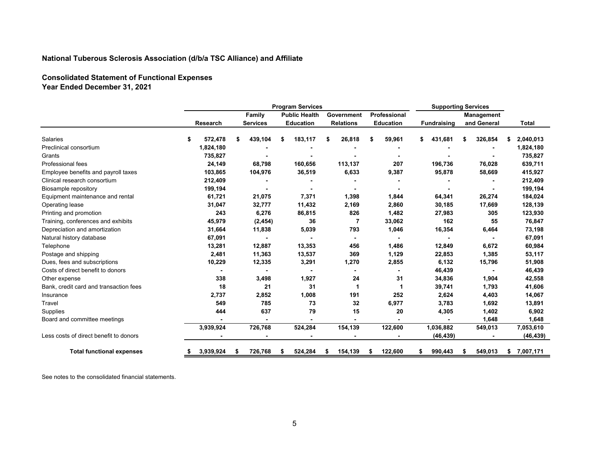**Consolidated Statement of Functional Expenses Year Ended December 31, 2021**

|                                        | <b>Program Services</b> |                 |                      |                  | <b>Supporting Services</b> |                    |                   |             |
|----------------------------------------|-------------------------|-----------------|----------------------|------------------|----------------------------|--------------------|-------------------|-------------|
|                                        |                         | Family          | <b>Public Health</b> | Government       | Professional               |                    | <b>Management</b> |             |
|                                        | Research                | <b>Services</b> | <b>Education</b>     | <b>Relations</b> | <b>Education</b>           | <b>Fundraising</b> | and General       | Total       |
| Salaries                               | 572,478                 | 439,104<br>\$   | 183,117<br>\$        | 26,818<br>\$     | 59,961<br>\$               | 431,681<br>\$      | 326,854<br>S      | 2,040,013   |
| Preclinical consortium                 | 1,824,180               |                 |                      |                  |                            |                    |                   | 1,824,180   |
| Grants                                 | 735,827                 |                 |                      |                  |                            |                    |                   | 735,827     |
| <b>Professional fees</b>               | 24,149                  | 68,798          | 160,656              | 113,137          | 207                        | 196,736            | 76,028            | 639,711     |
| Employee benefits and payroll taxes    | 103,865                 | 104,976         | 36,519               | 6,633            | 9,387                      | 95,878             | 58,669            | 415,927     |
| Clinical research consortium           | 212,409                 |                 |                      |                  |                            |                    |                   | 212,409     |
| Biosample repository                   | 199,194                 |                 |                      |                  |                            |                    |                   | 199,194     |
| Equipment maintenance and rental       | 61,721                  | 21,075          | 7,371                | 1,398            | 1,844                      | 64,341             | 26,274            | 184,024     |
| Operating lease                        | 31,047                  | 32,777          | 11,432               | 2,169            | 2,860                      | 30,185             | 17,669            | 128,139     |
| Printing and promotion                 | 243                     | 6,276           | 86,815               | 826              | 1,482                      | 27,983             | 305               | 123,930     |
| Training, conferences and exhibits     | 45,979                  | (2, 454)        | 36                   | 7                | 33,062                     | 162                | 55                | 76,847      |
| Depreciation and amortization          | 31,664                  | 11,838          | 5,039                | 793              | 1,046                      | 16,354             | 6,464             | 73,198      |
| Natural history database               | 67,091                  |                 |                      |                  |                            |                    |                   | 67,091      |
|                                        |                         |                 | 13,353               | 456              | 1,486                      | 12,849             | 6,672             | 60,984      |
| Telephone                              | 13,281                  | 12,887          |                      |                  |                            |                    |                   |             |
| Postage and shipping                   | 2,481                   | 11,363          | 13,537               | 369              | 1,129                      | 22,853             | 1,385             | 53,117      |
| Dues, fees and subscriptions           | 10,229                  | 12,335          | 3,291                | 1,270            | 2,855                      | 6,132              | 15,796            | 51,908      |
| Costs of direct benefit to donors      |                         |                 |                      |                  |                            | 46,439             |                   | 46,439      |
| Other expense                          | 338                     | 3,498           | 1,927                | 24               | 31                         | 34,836             | 1,904             | 42,558      |
| Bank, credit card and transaction fees | 18                      | 21              | 31                   | 1                | 1                          | 39,741             | 1,793             | 41,606      |
| Insurance                              | 2,737                   | 2,852           | 1,008                | 191              | 252                        | 2,624              | 4,403             | 14,067      |
| Travel                                 | 549                     | 785             | 73                   | 32               | 6,977                      | 3,783              | 1,692             | 13,891      |
| Supplies                               | 444                     | 637             | 79                   | 15               | 20                         | 4,305              | 1,402             | 6,902       |
| Board and committee meetings           |                         | $\blacksquare$  |                      | $\blacksquare$   |                            |                    | 1,648             | 1,648       |
|                                        | 3,939,924               | 726,768         | 524,284              | 154,139          | 122,600                    | 1,036,882          | 549,013           | 7,053,610   |
| Less costs of direct benefit to donors |                         |                 |                      |                  |                            | (46, 439)          |                   | (46, 439)   |
| <b>Total functional expenses</b>       | 3,939,924               | 726,768         | 524,284<br>\$        | 154,139<br>\$    | 122,600<br>\$              | 990,443<br>S       | 549,013<br>\$     | \$7,007,171 |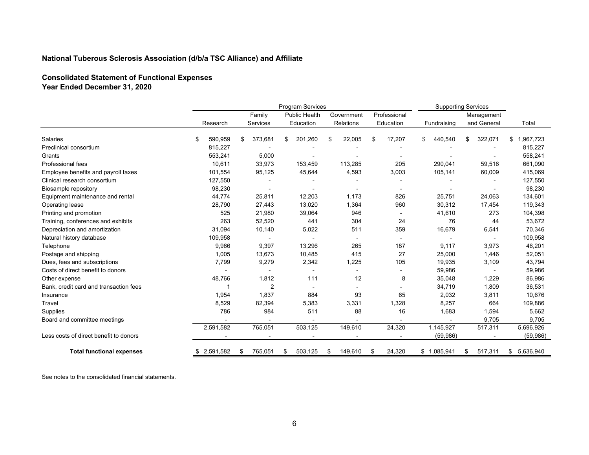**Consolidated Statement of Functional Expenses Year Ended December 31, 2020**

|                                        |    | <b>Program Services</b> |    |                 |    |               |    |                  |    |              |    |             |    | <b>Supporting Services</b> |    |           |  |
|----------------------------------------|----|-------------------------|----|-----------------|----|---------------|----|------------------|----|--------------|----|-------------|----|----------------------------|----|-----------|--|
|                                        |    |                         |    | Family          |    | Public Health |    | Government       |    | Professional |    |             |    | Management                 |    |           |  |
|                                        |    | Research                |    | <b>Services</b> |    | Education     |    | <b>Relations</b> |    | Education    |    | Fundraising |    | and General                |    | Total     |  |
| <b>Salaries</b>                        | \$ | 590,959                 | \$ | 373,681         | \$ | 201,260       | \$ | 22,005           | \$ | 17,207       | \$ | 440,540     | \$ | 322,071                    | \$ | 1,967,723 |  |
| Preclinical consortium                 |    | 815,227                 |    |                 |    |               |    |                  |    |              |    |             |    |                            |    | 815,227   |  |
| Grants                                 |    | 553,241                 |    | 5,000           |    |               |    |                  |    |              |    |             |    |                            |    | 558,241   |  |
| <b>Professional fees</b>               |    | 10,611                  |    | 33,973          |    | 153,459       |    | 113,285          |    | 205          |    | 290,041     |    | 59,516                     |    | 661,090   |  |
| Employee benefits and payroll taxes    |    | 101,554                 |    | 95,125          |    | 45,644        |    | 4,593            |    | 3,003        |    | 105,141     |    | 60,009                     |    | 415,069   |  |
| Clinical research consortium           |    | 127,550                 |    |                 |    |               |    |                  |    |              |    |             |    |                            |    | 127,550   |  |
| Biosample repository                   |    | 98,230                  |    |                 |    |               |    |                  |    |              |    |             |    |                            |    | 98,230    |  |
| Equipment maintenance and rental       |    | 44,774                  |    | 25,811          |    | 12,203        |    | 1,173            |    | 826          |    | 25,751      |    | 24,063                     |    | 134,601   |  |
| Operating lease                        |    | 28,790                  |    | 27,443          |    | 13,020        |    | 1,364            |    | 960          |    | 30,312      |    | 17,454                     |    | 119,343   |  |
| Printing and promotion                 |    | 525                     |    | 21,980          |    | 39,064        |    | 946              |    |              |    | 41,610      |    | 273                        |    | 104,398   |  |
| Training, conferences and exhibits     |    | 263                     |    | 52,520          |    | 441           |    | 304              |    | 24           |    | 76          |    | 44                         |    | 53,672    |  |
| Depreciation and amortization          |    | 31,094                  |    | 10,140          |    | 5,022         |    | 511              |    | 359          |    | 16,679      |    | 6,541                      |    | 70,346    |  |
| Natural history database               |    | 109,958                 |    |                 |    |               |    |                  |    |              |    |             |    |                            |    | 109,958   |  |
| Telephone                              |    | 9,966                   |    | 9,397           |    | 13,296        |    | 265              |    | 187          |    | 9,117       |    | 3,973                      |    | 46,201    |  |
| Postage and shipping                   |    | 1,005                   |    | 13,673          |    | 10,485        |    | 415              |    | 27           |    | 25,000      |    | 1,446                      |    | 52,051    |  |
| Dues, fees and subscriptions           |    | 7,799                   |    | 9,279           |    | 2,342         |    | 1,225            |    | 105          |    | 19,935      |    | 3,109                      |    | 43,794    |  |
| Costs of direct benefit to donors      |    |                         |    |                 |    |               |    |                  |    |              |    | 59,986      |    |                            |    | 59,986    |  |
| Other expense                          |    | 48,766                  |    | 1,812           |    | 111           |    | 12               |    | 8            |    | 35,048      |    | 1,229                      |    | 86,986    |  |
| Bank, credit card and transaction fees |    |                         |    | $\overline{2}$  |    |               |    |                  |    |              |    | 34,719      |    | 1,809                      |    | 36,531    |  |
| Insurance                              |    | 1,954                   |    | 1,837           |    | 884           |    | 93               |    | 65           |    | 2,032       |    | 3,811                      |    | 10,676    |  |
| Travel                                 |    | 8,529                   |    | 82,394          |    | 5,383         |    | 3,331            |    | 1,328        |    | 8,257       |    | 664                        |    | 109,886   |  |
| Supplies                               |    | 786                     |    | 984             |    | 511           |    | 88               |    | 16           |    | 1,683       |    | 1,594                      |    | 5,662     |  |
| Board and committee meetings           |    |                         |    |                 |    |               |    |                  |    |              |    |             |    | 9,705                      |    | 9,705     |  |
|                                        |    | 2,591,582               |    | 765,051         |    | 503,125       |    | 149,610          |    | 24,320       |    | 1,145,927   |    | 517,311                    |    | 5,696,926 |  |
| Less costs of direct benefit to donors |    |                         |    |                 |    |               |    |                  |    |              |    | (59,986)    |    |                            |    | (59,986)  |  |
| <b>Total functional expenses</b>       | \$ | 2,591,582               | \$ | 765,051         | \$ | 503,125       | \$ | 149,610          | \$ | 24,320       |    | \$1,085,941 | \$ | 517,311                    | \$ | 5,636,940 |  |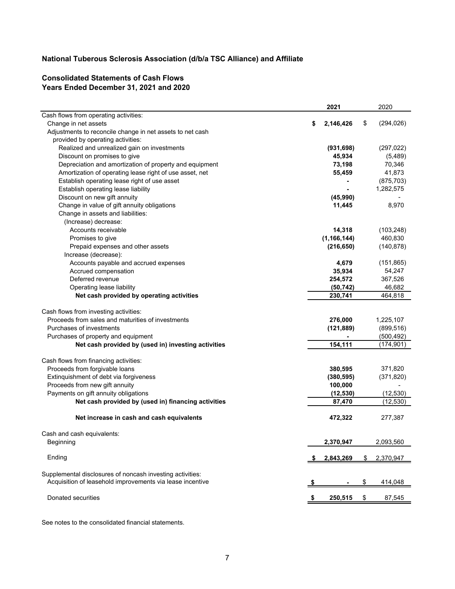# **Consolidated Statements of Cash Flows Years Ended December 31, 2021 and 2020**

|                                                           | 2021            | 2020             |
|-----------------------------------------------------------|-----------------|------------------|
| Cash flows from operating activities:                     |                 |                  |
| Change in net assets                                      | \$<br>2,146,426 | \$<br>(294, 026) |
| Adjustments to reconcile change in net assets to net cash |                 |                  |
| provided by operating activities:                         |                 |                  |
| Realized and unrealized gain on investments               | (931, 698)      | (297, 022)       |
| Discount on promises to give                              | 45,934          | (5,489)          |
| Depreciation and amortization of property and equipment   | 73,198          | 70,346           |
| Amortization of operating lease right of use asset, net   | 55,459          | 41,873           |
| Establish operating lease right of use asset              |                 | (875, 703)       |
| Establish operating lease liability                       |                 | 1,282,575        |
| Discount on new gift annuity                              | (45,990)        |                  |
| Change in value of gift annuity obligations               | 11,445          | 8,970            |
| Change in assets and liabilities:                         |                 |                  |
| (Increase) decrease:                                      |                 |                  |
| Accounts receivable                                       | 14,318          | (103, 248)       |
| Promises to give                                          | (1, 166, 144)   | 460,830          |
| Prepaid expenses and other assets                         | (216, 650)      | (140, 878)       |
| Increase (decrease):                                      |                 |                  |
| Accounts payable and accrued expenses                     | 4,679           | (151, 865)       |
| Accrued compensation                                      | 35,934          | 54,247           |
| Deferred revenue                                          | 254,572         | 367,526          |
| Operating lease liability                                 | (50, 742)       | 46,682           |
| Net cash provided by operating activities                 | 230,741         | 464,818          |
|                                                           |                 |                  |
| Cash flows from investing activities:                     |                 |                  |
| Proceeds from sales and maturities of investments         | 276,000         | 1,225,107        |
| Purchases of investments                                  | (121, 889)      | (899, 516)       |
| Purchases of property and equipment                       |                 | (500, 492)       |
| Net cash provided by (used in) investing activities       | 154,111         | (174, 901)       |
| Cash flows from financing activities:                     |                 |                  |
| Proceeds from forgivable loans                            | 380,595         | 371,820          |
| Extinquishment of debt via forgiveness                    | (380, 595)      | (371, 820)       |
| Proceeds from new gift annuity                            | 100,000         |                  |
| Payments on gift annuity obligations                      | (12, 530)       | (12, 530)        |
| Net cash provided by (used in) financing activities       | 87,470          | (12, 530)        |
|                                                           |                 |                  |
| Net increase in cash and cash equivalents                 | 472,322         | 277,387          |
| Cash and cash equivalents:                                |                 |                  |
| Beginning                                                 | 2,370,947       | 2,093,560        |
|                                                           |                 |                  |
| Ending                                                    | 2,843,269       | \$<br>2,370,947  |
|                                                           |                 |                  |
| Supplemental disclosures of noncash investing activities: |                 |                  |
| Acquisition of leasehold improvements via lease incentive |                 | \$<br>414,048    |
| Donated securities                                        | \$<br>250,515   | \$<br>87,545     |
|                                                           |                 |                  |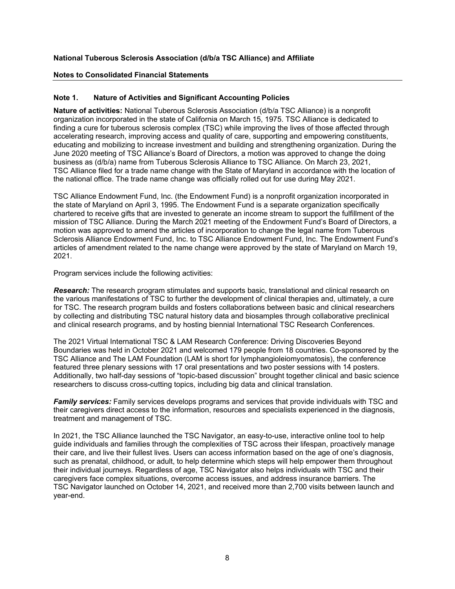## **Notes to Consolidated Financial Statements**

## **Note 1. Nature of Activities and Significant Accounting Policies**

**Nature of activities:** National Tuberous Sclerosis Association (d/b/a TSC Alliance) is a nonprofit organization incorporated in the state of California on March 15, 1975. TSC Alliance is dedicated to finding a cure for tuberous sclerosis complex (TSC) while improving the lives of those affected through accelerating research, improving access and quality of care, supporting and empowering constituents, educating and mobilizing to increase investment and building and strengthening organization. During the June 2020 meeting of TSC Alliance's Board of Directors, a motion was approved to change the doing business as (d/b/a) name from Tuberous Sclerosis Alliance to TSC Alliance. On March 23, 2021, TSC Alliance filed for a trade name change with the State of Maryland in accordance with the location of the national office. The trade name change was officially rolled out for use during May 2021.

TSC Alliance Endowment Fund, Inc. (the Endowment Fund) is a nonprofit organization incorporated in the state of Maryland on April 3, 1995. The Endowment Fund is a separate organization specifically chartered to receive gifts that are invested to generate an income stream to support the fulfillment of the mission of TSC Alliance. During the March 2021 meeting of the Endowment Fund's Board of Directors, a motion was approved to amend the articles of incorporation to change the legal name from Tuberous Sclerosis Alliance Endowment Fund, Inc. to TSC Alliance Endowment Fund, Inc. The Endowment Fund's articles of amendment related to the name change were approved by the state of Maryland on March 19, 2021.

Program services include the following activities:

*Research:* The research program stimulates and supports basic, translational and clinical research on the various manifestations of TSC to further the development of clinical therapies and, ultimately, a cure for TSC. The research program builds and fosters collaborations between basic and clinical researchers by collecting and distributing TSC natural history data and biosamples through collaborative preclinical and clinical research programs, and by hosting biennial International TSC Research Conferences.

The 2021 Virtual International TSC & LAM Research Conference: Driving Discoveries Beyond Boundaries was held in October 2021 and welcomed 179 people from 18 countries. Co-sponsored by the TSC Alliance and The LAM Foundation (LAM is short for lymphangioleiomyomatosis), the conference featured three plenary sessions with 17 oral presentations and two poster sessions with 14 posters. Additionally, two half-day sessions of "topic-based discussion" brought together clinical and basic science researchers to discuss cross-cutting topics, including big data and clinical translation.

*Family services:* Family services develops programs and services that provide individuals with TSC and their caregivers direct access to the information, resources and specialists experienced in the diagnosis, treatment and management of TSC.

In 2021, the TSC Alliance launched the TSC Navigator, an easy-to-use, interactive online tool to help guide individuals and families through the complexities of TSC across their lifespan, proactively manage their care, and live their fullest lives. Users can access information based on the age of one's diagnosis, such as prenatal, childhood, or adult, to help determine which steps will help empower them throughout their individual journeys. Regardless of age, TSC Navigator also helps individuals with TSC and their caregivers face complex situations, overcome access issues, and address insurance barriers. The TSC Navigator launched on October 14, 2021, and received more than 2,700 visits between launch and year-end.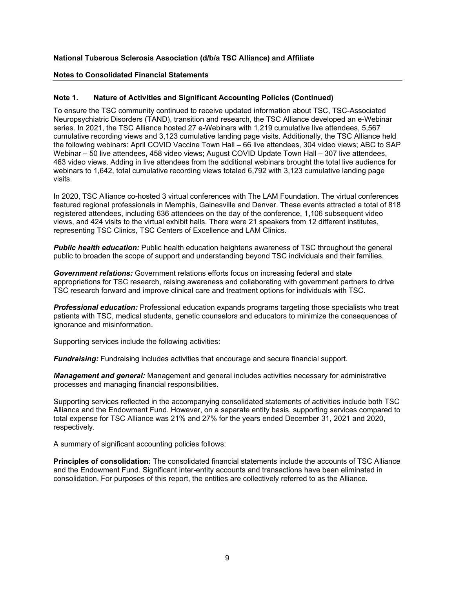## **Notes to Consolidated Financial Statements**

## **Note 1. Nature of Activities and Significant Accounting Policies (Continued)**

To ensure the TSC community continued to receive updated information about TSC, TSC-Associated Neuropsychiatric Disorders (TAND), transition and research, the TSC Alliance developed an e-Webinar series. In 2021, the TSC Alliance hosted 27 e-Webinars with 1,219 cumulative live attendees, 5,567 cumulative recording views and 3,123 cumulative landing page visits. Additionally, the TSC Alliance held the following webinars: April COVID Vaccine Town Hall – 66 live attendees, 304 video views; ABC to SAP Webinar – 50 live attendees, 458 video views; August COVID Update Town Hall – 307 live attendees, 463 video views. Adding in live attendees from the additional webinars brought the total live audience for webinars to 1,642, total cumulative recording views totaled 6,792 with 3,123 cumulative landing page visits.

In 2020, TSC Alliance co-hosted 3 virtual conferences with The LAM Foundation. The virtual conferences featured regional professionals in Memphis, Gainesville and Denver. These events attracted a total of 818 registered attendees, including 636 attendees on the day of the conference, 1,106 subsequent video views, and 424 visits to the virtual exhibit halls. There were 21 speakers from 12 different institutes, representing TSC Clinics, TSC Centers of Excellence and LAM Clinics.

*Public health education:* Public health education heightens awareness of TSC throughout the general public to broaden the scope of support and understanding beyond TSC individuals and their families.

*Government relations:* Government relations efforts focus on increasing federal and state appropriations for TSC research, raising awareness and collaborating with government partners to drive TSC research forward and improve clinical care and treatment options for individuals with TSC.

*Professional education:* Professional education expands programs targeting those specialists who treat patients with TSC, medical students, genetic counselors and educators to minimize the consequences of ignorance and misinformation.

Supporting services include the following activities:

*Fundraising:* Fundraising includes activities that encourage and secure financial support.

*Management and general:* Management and general includes activities necessary for administrative processes and managing financial responsibilities.

Supporting services reflected in the accompanying consolidated statements of activities include both TSC Alliance and the Endowment Fund. However, on a separate entity basis, supporting services compared to total expense for TSC Alliance was 21% and 27% for the years ended December 31, 2021 and 2020, respectively.

A summary of significant accounting policies follows:

**Principles of consolidation:** The consolidated financial statements include the accounts of TSC Alliance and the Endowment Fund. Significant inter-entity accounts and transactions have been eliminated in consolidation. For purposes of this report, the entities are collectively referred to as the Alliance.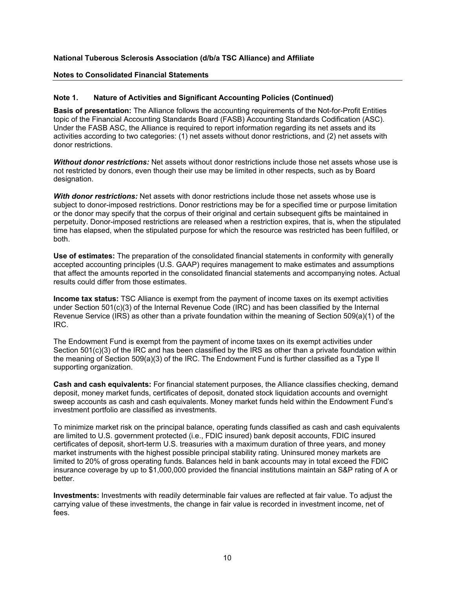## **Notes to Consolidated Financial Statements**

# **Note 1. Nature of Activities and Significant Accounting Policies (Continued)**

**Basis of presentation:** The Alliance follows the accounting requirements of the Not-for-Profit Entities topic of the Financial Accounting Standards Board (FASB) Accounting Standards Codification (ASC). Under the FASB ASC, the Alliance is required to report information regarding its net assets and its activities according to two categories: (1) net assets without donor restrictions, and (2) net assets with donor restrictions.

*Without donor restrictions:* Net assets without donor restrictions include those net assets whose use is not restricted by donors, even though their use may be limited in other respects, such as by Board designation.

**With donor restrictions:** Net assets with donor restrictions include those net assets whose use is subject to donor-imposed restrictions. Donor restrictions may be for a specified time or purpose limitation or the donor may specify that the corpus of their original and certain subsequent gifts be maintained in perpetuity. Donor-imposed restrictions are released when a restriction expires, that is, when the stipulated time has elapsed, when the stipulated purpose for which the resource was restricted has been fulfilled, or both.

**Use of estimates:** The preparation of the consolidated financial statements in conformity with generally accepted accounting principles (U.S. GAAP) requires management to make estimates and assumptions that affect the amounts reported in the consolidated financial statements and accompanying notes. Actual results could differ from those estimates.

**Income tax status:** TSC Alliance is exempt from the payment of income taxes on its exempt activities under Section 501(c)(3) of the Internal Revenue Code (IRC) and has been classified by the Internal Revenue Service (IRS) as other than a private foundation within the meaning of Section 509(a)(1) of the IRC.

The Endowment Fund is exempt from the payment of income taxes on its exempt activities under Section 501(c)(3) of the IRC and has been classified by the IRS as other than a private foundation within the meaning of Section 509(a)(3) of the IRC. The Endowment Fund is further classified as a Type II supporting organization.

**Cash and cash equivalents:** For financial statement purposes, the Alliance classifies checking, demand deposit, money market funds, certificates of deposit, donated stock liquidation accounts and overnight sweep accounts as cash and cash equivalents. Money market funds held within the Endowment Fund's investment portfolio are classified as investments.

To minimize market risk on the principal balance, operating funds classified as cash and cash equivalents are limited to U.S. government protected (i.e., FDIC insured) bank deposit accounts, FDIC insured certificates of deposit, short-term U.S. treasuries with a maximum duration of three years, and money market instruments with the highest possible principal stability rating. Uninsured money markets are limited to 20% of gross operating funds. Balances held in bank accounts may in total exceed the FDIC insurance coverage by up to \$1,000,000 provided the financial institutions maintain an S&P rating of A or better.

**Investments:** Investments with readily determinable fair values are reflected at fair value. To adjust the carrying value of these investments, the change in fair value is recorded in investment income, net of fees.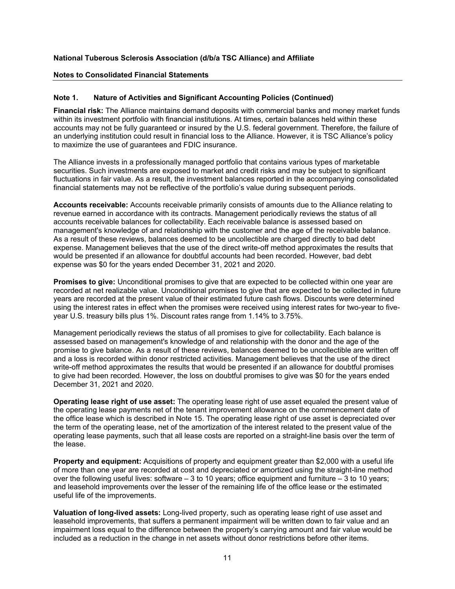## **Notes to Consolidated Financial Statements**

# **Note 1. Nature of Activities and Significant Accounting Policies (Continued)**

**Financial risk:** The Alliance maintains demand deposits with commercial banks and money market funds within its investment portfolio with financial institutions. At times, certain balances held within these accounts may not be fully guaranteed or insured by the U.S. federal government. Therefore, the failure of an underlying institution could result in financial loss to the Alliance. However, it is TSC Alliance's policy to maximize the use of guarantees and FDIC insurance.

The Alliance invests in a professionally managed portfolio that contains various types of marketable securities. Such investments are exposed to market and credit risks and may be subject to significant fluctuations in fair value. As a result, the investment balances reported in the accompanying consolidated financial statements may not be reflective of the portfolio's value during subsequent periods.

**Accounts receivable:** Accounts receivable primarily consists of amounts due to the Alliance relating to revenue earned in accordance with its contracts. Management periodically reviews the status of all accounts receivable balances for collectability. Each receivable balance is assessed based on management's knowledge of and relationship with the customer and the age of the receivable balance. As a result of these reviews, balances deemed to be uncollectible are charged directly to bad debt expense. Management believes that the use of the direct write-off method approximates the results that would be presented if an allowance for doubtful accounts had been recorded. However, bad debt expense was \$0 for the years ended December 31, 2021 and 2020.

**Promises to give:** Unconditional promises to give that are expected to be collected within one year are recorded at net realizable value. Unconditional promises to give that are expected to be collected in future years are recorded at the present value of their estimated future cash flows. Discounts were determined using the interest rates in effect when the promises were received using interest rates for two-year to fiveyear U.S. treasury bills plus 1%. Discount rates range from 1.14% to 3.75%.

Management periodically reviews the status of all promises to give for collectability. Each balance is assessed based on management's knowledge of and relationship with the donor and the age of the promise to give balance. As a result of these reviews, balances deemed to be uncollectible are written off and a loss is recorded within donor restricted activities. Management believes that the use of the direct write-off method approximates the results that would be presented if an allowance for doubtful promises to give had been recorded. However, the loss on doubtful promises to give was \$0 for the years ended December 31, 2021 and 2020.

**Operating lease right of use asset:** The operating lease right of use asset equaled the present value of the operating lease payments net of the tenant improvement allowance on the commencement date of the office lease which is described in Note 15. The operating lease right of use asset is depreciated over the term of the operating lease, net of the amortization of the interest related to the present value of the operating lease payments, such that all lease costs are reported on a straight-line basis over the term of the lease.

**Property and equipment:** Acquisitions of property and equipment greater than \$2,000 with a useful life of more than one year are recorded at cost and depreciated or amortized using the straight-line method over the following useful lives: software – 3 to 10 years; office equipment and furniture – 3 to 10 years; and leasehold improvements over the lesser of the remaining life of the office lease or the estimated useful life of the improvements.

**Valuation of long-lived assets:** Long-lived property, such as operating lease right of use asset and leasehold improvements, that suffers a permanent impairment will be written down to fair value and an impairment loss equal to the difference between the property's carrying amount and fair value would be included as a reduction in the change in net assets without donor restrictions before other items.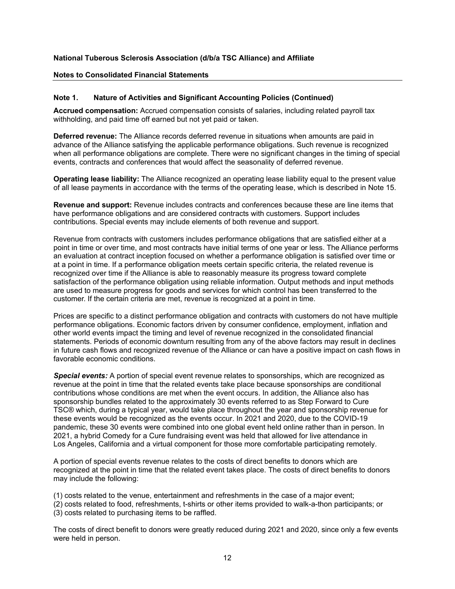#### **Notes to Consolidated Financial Statements**

# **Note 1. Nature of Activities and Significant Accounting Policies (Continued)**

**Accrued compensation:** Accrued compensation consists of salaries, including related payroll tax withholding, and paid time off earned but not yet paid or taken.

**Deferred revenue:** The Alliance records deferred revenue in situations when amounts are paid in advance of the Alliance satisfying the applicable performance obligations. Such revenue is recognized when all performance obligations are complete. There were no significant changes in the timing of special events, contracts and conferences that would affect the seasonality of deferred revenue.

**Operating lease liability:** The Alliance recognized an operating lease liability equal to the present value of all lease payments in accordance with the terms of the operating lease, which is described in Note 15.

**Revenue and support:** Revenue includes contracts and conferences because these are line items that have performance obligations and are considered contracts with customers. Support includes contributions. Special events may include elements of both revenue and support.

Revenue from contracts with customers includes performance obligations that are satisfied either at a point in time or over time, and most contracts have initial terms of one year or less. The Alliance performs an evaluation at contract inception focused on whether a performance obligation is satisfied over time or at a point in time. If a performance obligation meets certain specific criteria, the related revenue is recognized over time if the Alliance is able to reasonably measure its progress toward complete satisfaction of the performance obligation using reliable information. Output methods and input methods are used to measure progress for goods and services for which control has been transferred to the customer. If the certain criteria are met, revenue is recognized at a point in time.

Prices are specific to a distinct performance obligation and contracts with customers do not have multiple performance obligations. Economic factors driven by consumer confidence, employment, inflation and other world events impact the timing and level of revenue recognized in the consolidated financial statements. Periods of economic downturn resulting from any of the above factors may result in declines in future cash flows and recognized revenue of the Alliance or can have a positive impact on cash flows in favorable economic conditions.

**Special events:** A portion of special event revenue relates to sponsorships, which are recognized as revenue at the point in time that the related events take place because sponsorships are conditional contributions whose conditions are met when the event occurs. In addition, the Alliance also has sponsorship bundles related to the approximately 30 events referred to as Step Forward to Cure TSC® which, during a typical year, would take place throughout the year and sponsorship revenue for these events would be recognized as the events occur. In 2021 and 2020, due to the COVID-19 pandemic, these 30 events were combined into one global event held online rather than in person. In 2021, a hybrid Comedy for a Cure fundraising event was held that allowed for live attendance in Los Angeles, California and a virtual component for those more comfortable participating remotely.

A portion of special events revenue relates to the costs of direct benefits to donors which are recognized at the point in time that the related event takes place. The costs of direct benefits to donors may include the following:

(1) costs related to the venue, entertainment and refreshments in the case of a major event; (2) costs related to food, refreshments, t-shirts or other items provided to walk-a-thon participants; or

(3) costs related to purchasing items to be raffled.

The costs of direct benefit to donors were greatly reduced during 2021 and 2020, since only a few events were held in person.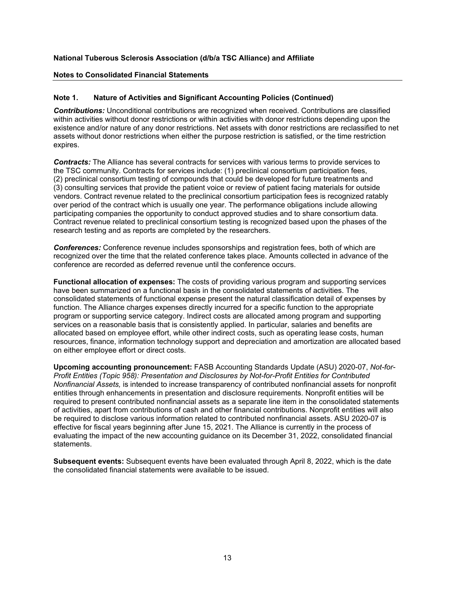#### **Notes to Consolidated Financial Statements**

## **Note 1. Nature of Activities and Significant Accounting Policies (Continued)**

*Contributions:* Unconditional contributions are recognized when received. Contributions are classified within activities without donor restrictions or within activities with donor restrictions depending upon the existence and/or nature of any donor restrictions. Net assets with donor restrictions are reclassified to net assets without donor restrictions when either the purpose restriction is satisfied, or the time restriction expires.

*Contracts:* The Alliance has several contracts for services with various terms to provide services to the TSC community. Contracts for services include: (1) preclinical consortium participation fees, (2) preclinical consortium testing of compounds that could be developed for future treatments and (3) consulting services that provide the patient voice or review of patient facing materials for outside vendors. Contract revenue related to the preclinical consortium participation fees is recognized ratably over period of the contract which is usually one year. The performance obligations include allowing participating companies the opportunity to conduct approved studies and to share consortium data. Contract revenue related to preclinical consortium testing is recognized based upon the phases of the research testing and as reports are completed by the researchers.

*Conferences:* Conference revenue includes sponsorships and registration fees, both of which are recognized over the time that the related conference takes place. Amounts collected in advance of the conference are recorded as deferred revenue until the conference occurs.

**Functional allocation of expenses:** The costs of providing various program and supporting services have been summarized on a functional basis in the consolidated statements of activities. The consolidated statements of functional expense present the natural classification detail of expenses by function. The Alliance charges expenses directly incurred for a specific function to the appropriate program or supporting service category. Indirect costs are allocated among program and supporting services on a reasonable basis that is consistently applied. In particular, salaries and benefits are allocated based on employee effort, while other indirect costs, such as operating lease costs, human resources, finance, information technology support and depreciation and amortization are allocated based on either employee effort or direct costs.

**Upcoming accounting pronouncement:** FASB Accounting Standards Update (ASU) 2020-07, *Not-for-Profit Entities (Topic 958): Presentation and Disclosures by Not-for-Profit Entities for Contributed Nonfinancial Assets,* is intended to increase transparency of contributed nonfinancial assets for nonprofit entities through enhancements in presentation and disclosure requirements. Nonprofit entities will be required to present contributed nonfinancial assets as a separate line item in the consolidated statements of activities, apart from contributions of cash and other financial contributions. Nonprofit entities will also be required to disclose various information related to contributed nonfinancial assets. ASU 2020-07 is effective for fiscal years beginning after June 15, 2021. The Alliance is currently in the process of evaluating the impact of the new accounting guidance on its December 31, 2022, consolidated financial statements.

**Subsequent events:** Subsequent events have been evaluated through April 8, 2022, which is the date the consolidated financial statements were available to be issued.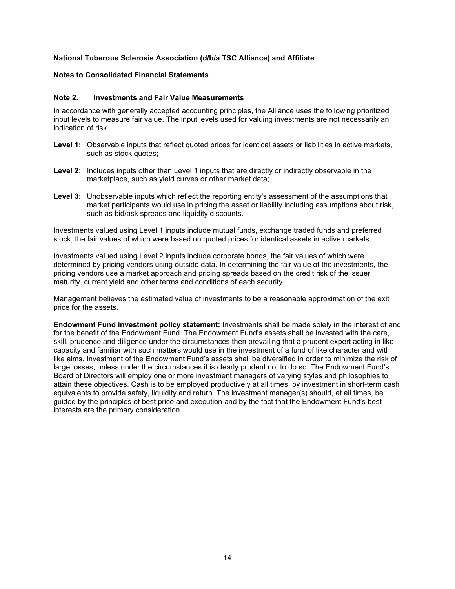#### **Notes to Consolidated Financial Statements**

## **Note 2. Investments and Fair Value Measurements**

In accordance with generally accepted accounting principles, the Alliance uses the following prioritized input levels to measure fair value. The input levels used for valuing investments are not necessarily an indication of risk.

- **Level 1:** Observable inputs that reflect quoted prices for identical assets or liabilities in active markets, such as stock quotes;
- **Level 2:** Includes inputs other than Level 1 inputs that are directly or indirectly observable in the marketplace, such as yield curves or other market data;
- **Level 3:** Unobservable inputs which reflect the reporting entity's assessment of the assumptions that market participants would use in pricing the asset or liability including assumptions about risk, such as bid/ask spreads and liquidity discounts.

Investments valued using Level 1 inputs include mutual funds, exchange traded funds and preferred stock, the fair values of which were based on quoted prices for identical assets in active markets.

Investments valued using Level 2 inputs include corporate bonds, the fair values of which were determined by pricing vendors using outside data. In determining the fair value of the investments, the pricing vendors use a market approach and pricing spreads based on the credit risk of the issuer, maturity, current yield and other terms and conditions of each security.

Management believes the estimated value of investments to be a reasonable approximation of the exit price for the assets.

**Endowment Fund investment policy statement:** Investments shall be made solely in the interest of and for the benefit of the Endowment Fund. The Endowment Fund's assets shall be invested with the care, skill, prudence and diligence under the circumstances then prevailing that a prudent expert acting in like capacity and familiar with such matters would use in the investment of a fund of like character and with like aims. Investment of the Endowment Fund's assets shall be diversified in order to minimize the risk of large losses, unless under the circumstances it is clearly prudent not to do so. The Endowment Fund's Board of Directors will employ one or more investment managers of varying styles and philosophies to attain these objectives. Cash is to be employed productively at all times, by investment in short-term cash equivalents to provide safety, liquidity and return. The investment manager(s) should, at all times, be guided by the principles of best price and execution and by the fact that the Endowment Fund's best interests are the primary consideration.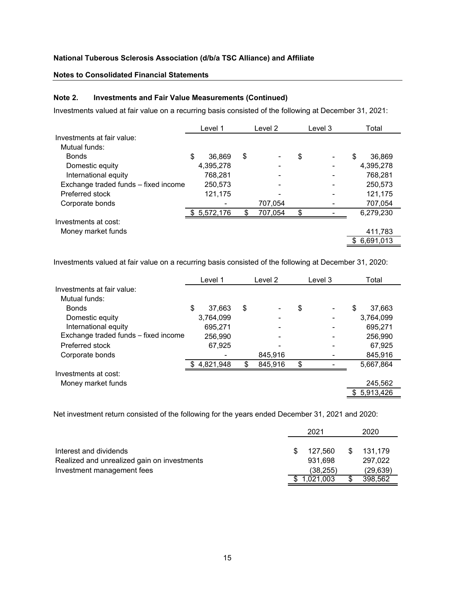# **Notes to Consolidated Financial Statements**

# **Note 2. Investments and Fair Value Measurements (Continued)**

Investments valued at fair value on a recurring basis consisted of the following at December 31, 2021:

|                                      | Level 1<br>Level 2<br>Level 3 |             |         | Total |   |             |
|--------------------------------------|-------------------------------|-------------|---------|-------|---|-------------|
| Investments at fair value:           |                               |             |         |       |   |             |
| Mutual funds:                        |                               |             |         |       |   |             |
| <b>Bonds</b>                         | \$                            | 36.869      | \$      | \$    | S | 36.869      |
| Domestic equity                      |                               | 4,395,278   |         |       |   | 4,395,278   |
| International equity                 |                               | 768.281     |         |       |   | 768,281     |
| Exchange traded funds - fixed income |                               | 250,573     |         |       |   | 250,573     |
| Preferred stock                      |                               | 121,175     |         |       |   | 121,175     |
| Corporate bonds                      |                               |             | 707,054 |       |   | 707,054     |
|                                      |                               | \$5,572,176 | 707,054 |       |   | 6,279,230   |
| Investments at cost:                 |                               |             |         |       |   |             |
| Money market funds                   |                               |             |         |       |   | 411,783     |
|                                      |                               |             |         |       |   | \$6,691,013 |

Investments valued at fair value on a recurring basis consisted of the following at December 31, 2020:

|                                      | Level 1<br>Level 2<br>Level 3 |    | Total                    |    |    |             |
|--------------------------------------|-------------------------------|----|--------------------------|----|----|-------------|
| Investments at fair value:           |                               |    |                          |    |    |             |
| Mutual funds:                        |                               |    |                          |    |    |             |
| <b>Bonds</b>                         | \$<br>37.663                  | \$ |                          | \$ | \$ | 37.663      |
| Domestic equity                      | 3,764,099                     |    | ٠                        |    |    | 3,764,099   |
| International equity                 | 695,271                       |    | $\overline{\phantom{0}}$ |    |    | 695,271     |
| Exchange traded funds - fixed income | 256,990                       |    | ۰                        |    |    | 256,990     |
| Preferred stock                      | 67,925                        |    |                          |    |    | 67,925      |
| Corporate bonds                      |                               |    | 845.916                  |    |    | 845,916     |
|                                      | \$4,821,948                   |    | 845,916                  | \$ |    | 5,667,864   |
| Investments at cost:                 |                               |    |                          |    |    |             |
| Money market funds                   |                               |    |                          |    |    | 245,562     |
|                                      |                               |    |                          |    |    | \$5,913,426 |

Net investment return consisted of the following for the years ended December 31, 2021 and 2020:

|                                             |     | 2021      |     | 2020      |
|---------------------------------------------|-----|-----------|-----|-----------|
| Interest and dividends                      | \$. | 127.560   | \$. | 131.179   |
| Realized and unrealized gain on investments |     | 931.698   |     | 297.022   |
| Investment management fees                  |     | (38, 255) |     | (29, 639) |
|                                             |     | 1.021.003 |     | 398,562   |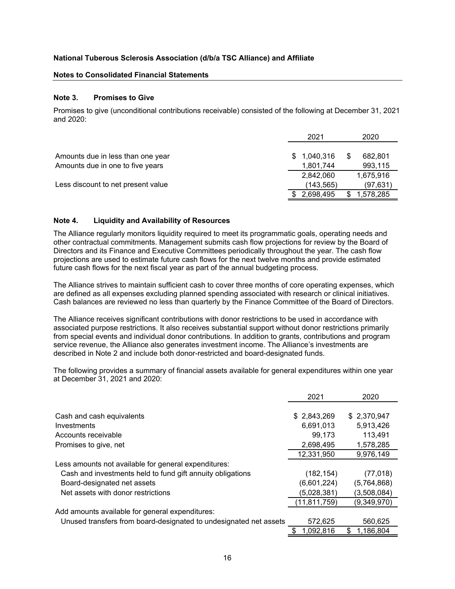#### **Notes to Consolidated Financial Statements**

# **Note 3. Promises to Give**

Promises to give (unconditional contributions receivable) consisted of the following at December 31, 2021 and 2020:

|                                    | 2021            | 2020      |
|------------------------------------|-----------------|-----------|
| Amounts due in less than one year  | 1,040,316<br>S. | 682.801   |
| Amounts due in one to five years   | 1,801,744       | 993,115   |
|                                    | 2.842.060       | 1,675,916 |
| Less discount to net present value | (143,565)       | (97, 631) |
|                                    | 2.698.495       | 1,578,285 |

#### **Note 4. Liquidity and Availability of Resources**

The Alliance regularly monitors liquidity required to meet its programmatic goals, operating needs and other contractual commitments. Management submits cash flow projections for review by the Board of Directors and its Finance and Executive Committees periodically throughout the year. The cash flow projections are used to estimate future cash flows for the next twelve months and provide estimated future cash flows for the next fiscal year as part of the annual budgeting process.

The Alliance strives to maintain sufficient cash to cover three months of core operating expenses, which are defined as all expenses excluding planned spending associated with research or clinical initiatives. Cash balances are reviewed no less than quarterly by the Finance Committee of the Board of Directors.

The Alliance receives significant contributions with donor restrictions to be used in accordance with associated purpose restrictions. It also receives substantial support without donor restrictions primarily from special events and individual donor contributions. In addition to grants, contributions and program service revenue, the Alliance also generates investment income. The Alliance's investments are described in Note 2 and include both donor-restricted and board-designated funds.

The following provides a summary of financial assets available for general expenditures within one year at December 31, 2021 and 2020:

|                                                                   | 2021         | 2020            |
|-------------------------------------------------------------------|--------------|-----------------|
|                                                                   |              |                 |
| Cash and cash equivalents                                         | \$2,843,269  | \$2,370,947     |
| Investments                                                       | 6,691,013    | 5,913,426       |
| Accounts receivable                                               | 99,173       | 113,491         |
| Promises to give, net                                             | 2,698,495    | 1,578,285       |
|                                                                   | 12,331,950   | 9,976,149       |
| Less amounts not available for general expenditures:              |              |                 |
| Cash and investments held to fund gift annuity obligations        | (182, 154)   | (77, 018)       |
| Board-designated net assets                                       | (6,601,224)  | (5,764,868)     |
| Net assets with donor restrictions                                | (5,028,381)  | (3,508,084)     |
|                                                                   | (11,811,759) | (9,349,970)     |
| Add amounts available for general expenditures:                   |              |                 |
| Unused transfers from board-designated to undesignated net assets | 572,625      | 560,625         |
|                                                                   | 1,092,816    | 1,186,804<br>\$ |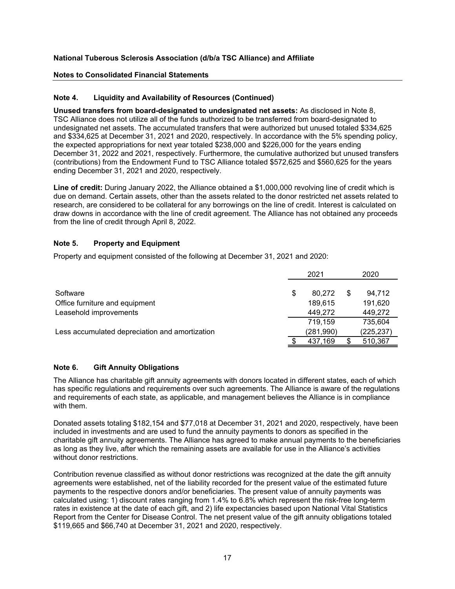## **Notes to Consolidated Financial Statements**

## **Note 4. Liquidity and Availability of Resources (Continued)**

**Unused transfers from board-designated to undesignated net assets:** As disclosed in Note 8, TSC Alliance does not utilize all of the funds authorized to be transferred from board-designated to undesignated net assets. The accumulated transfers that were authorized but unused totaled \$334,625 and \$334,625 at December 31, 2021 and 2020, respectively. In accordance with the 5% spending policy, the expected appropriations for next year totaled \$238,000 and \$226,000 for the years ending December 31, 2022 and 2021, respectively. Furthermore, the cumulative authorized but unused transfers (contributions) from the Endowment Fund to TSC Alliance totaled \$572,625 and \$560,625 for the years ending December 31, 2021 and 2020, respectively.

**Line of credit:** During January 2022, the Alliance obtained a \$1,000,000 revolving line of credit which is due on demand. Certain assets, other than the assets related to the donor restricted net assets related to research, are considered to be collateral for any borrowings on the line of credit. Interest is calculated on draw downs in accordance with the line of credit agreement. The Alliance has not obtained any proceeds from the line of credit through April 8, 2022.

# **Note 5. Property and Equipment**

Property and equipment consisted of the following at December 31, 2021 and 2020:

|                                                | 2021         | 2020         |
|------------------------------------------------|--------------|--------------|
| Software                                       | \$<br>80.272 | \$<br>94,712 |
| Office furniture and equipment                 | 189,615      | 191,620      |
| Leasehold improvements                         | 449,272      | 449,272      |
|                                                | 719,159      | 735,604      |
| Less accumulated depreciation and amortization | (281,990)    | (225, 237)   |
|                                                | 437,169      | 510,367      |

## **Note 6. Gift Annuity Obligations**

The Alliance has charitable gift annuity agreements with donors located in different states, each of which has specific regulations and requirements over such agreements. The Alliance is aware of the regulations and requirements of each state, as applicable, and management believes the Alliance is in compliance with them.

Donated assets totaling \$182,154 and \$77,018 at December 31, 2021 and 2020, respectively, have been included in investments and are used to fund the annuity payments to donors as specified in the charitable gift annuity agreements. The Alliance has agreed to make annual payments to the beneficiaries as long as they live, after which the remaining assets are available for use in the Alliance's activities without donor restrictions.

Contribution revenue classified as without donor restrictions was recognized at the date the gift annuity agreements were established, net of the liability recorded for the present value of the estimated future payments to the respective donors and/or beneficiaries. The present value of annuity payments was calculated using: 1) discount rates ranging from 1.4% to 6.8% which represent the risk-free long-term rates in existence at the date of each gift, and 2) life expectancies based upon National Vital Statistics Report from the Center for Disease Control. The net present value of the gift annuity obligations totaled \$119,665 and \$66,740 at December 31, 2021 and 2020, respectively.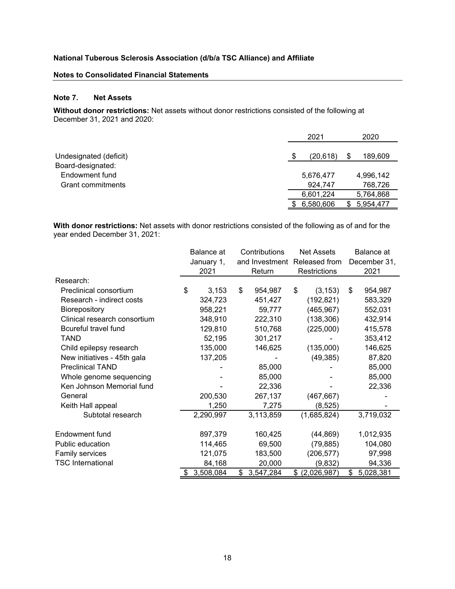# **Notes to Consolidated Financial Statements**

# **Note 7. Net Assets**

**Without donor restrictions:** Net assets without donor restrictions consisted of the following at December 31, 2021 and 2020:

|                          | 2021            | 2020 |           |  |
|--------------------------|-----------------|------|-----------|--|
| Undesignated (deficit)   | \$<br>(20, 618) | \$   | 189,609   |  |
| Board-designated:        |                 |      |           |  |
| Endowment fund           | 5,676,477       |      | 4,996,142 |  |
| <b>Grant commitments</b> | 924,747         |      | 768,726   |  |
|                          | 6,601,224       |      | 5,764,868 |  |
|                          | 6,580,606       |      | 5,954,477 |  |

**With donor restrictions:** Net assets with donor restrictions consisted of the following as of and for the year ended December 31, 2021:

|                              | Balance at      | Contributions   | <b>Net Assets</b> |    | Balance at   |  |
|------------------------------|-----------------|-----------------|-------------------|----|--------------|--|
|                              | January 1,      | and Investment  | Released from     |    | December 31, |  |
|                              | 2021            | Return          | Restrictions      |    | 2021         |  |
| Research:                    |                 |                 |                   |    |              |  |
| Preclinical consortium       | \$<br>3,153     | \$<br>954,987   | \$<br>(3, 153)    | \$ | 954,987      |  |
| Research - indirect costs    | 324,723         | 451,427         | (192, 821)        |    | 583,329      |  |
| <b>Biorepository</b>         | 958,221         | 59,777          | (465, 967)        |    | 552,031      |  |
| Clinical research consortium | 348,910         | 222,310         | (138, 306)        |    | 432,914      |  |
| Bcureful travel fund         | 129,810         | 510,768         | (225,000)         |    | 415,578      |  |
| TAND                         | 52,195          | 301,217         |                   |    | 353,412      |  |
| Child epilepsy research      | 135,000         | 146,625         | (135,000)         |    | 146,625      |  |
| New initiatives - 45th gala  | 137,205         |                 | (49, 385)         |    | 87,820       |  |
| <b>Preclinical TAND</b>      |                 | 85,000          |                   |    | 85,000       |  |
| Whole genome sequencing      |                 | 85,000          |                   |    | 85,000       |  |
| Ken Johnson Memorial fund    |                 | 22,336          |                   |    | 22,336       |  |
| General                      | 200,530         | 267,137         | (467, 667)        |    |              |  |
| Keith Hall appeal            | 1,250           | 7,275           | (8, 525)          |    |              |  |
| Subtotal research            | 2,290,997       | 3,113,859       | (1,685,824)       |    | 3,719,032    |  |
| Endowment fund               | 897,379         | 160,425         | (44, 869)         |    | 1,012,935    |  |
| Public education             | 114,465         | 69,500          | (79, 885)         |    | 104,080      |  |
| <b>Family services</b>       | 121,075         | 183,500         | (206, 577)        |    | 97,998       |  |
| <b>TSC</b> International     | 84,168          | 20,000          | (9,832)           |    | 94,336       |  |
|                              | \$<br>3,508,084 | \$<br>3,547,284 | \$<br>(2,026,987) | \$ | 5,028,381    |  |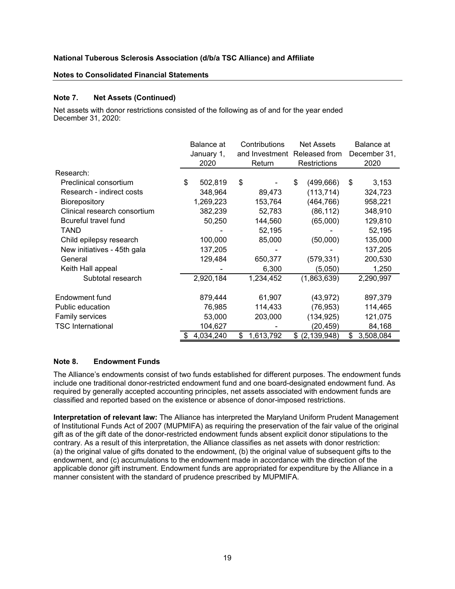#### **Notes to Consolidated Financial Statements**

# **Note 7. Net Assets (Continued)**

Net assets with donor restrictions consisted of the following as of and for the year ended December 31, 2020:

|                              | Balance at<br>January 1,<br>2020 | Contributions<br>Return | <b>Net Assets</b><br>and Investment Released from<br><b>Restrictions</b> |               | Balance at<br>December 31,<br>2020 |
|------------------------------|----------------------------------|-------------------------|--------------------------------------------------------------------------|---------------|------------------------------------|
| Research:                    |                                  |                         |                                                                          |               |                                    |
| Preclinical consortium       | \$<br>502,819                    | \$                      | \$                                                                       | (499, 666)    | \$<br>3,153                        |
| Research - indirect costs    | 348,964                          | 89,473                  |                                                                          | (113, 714)    | 324,723                            |
| <b>Biorepository</b>         | 1,269,223                        | 153,764                 |                                                                          | (464, 766)    | 958,221                            |
| Clinical research consortium | 382,239                          | 52,783                  |                                                                          | (86, 112)     | 348,910                            |
| Bcureful travel fund         | 50,250                           | 144,560                 |                                                                          | (65,000)      | 129,810                            |
| TAND                         |                                  | 52,195                  |                                                                          |               | 52,195                             |
| Child epilepsy research      | 100,000                          | 85,000                  |                                                                          | (50,000)      | 135,000                            |
| New initiatives - 45th gala  | 137,205                          |                         |                                                                          |               | 137,205                            |
| General                      | 129,484                          | 650,377                 |                                                                          | (579, 331)    | 200,530                            |
| Keith Hall appeal            |                                  | 6,300                   |                                                                          | (5,050)       | 1,250                              |
| Subtotal research            | 2,920,184                        | 1,234,452               |                                                                          | (1,863,639)   | 2,290,997                          |
| Endowment fund               | 879,444                          | 61,907                  |                                                                          | (43, 972)     | 897,379                            |
| Public education             | 76,985                           | 114,433                 |                                                                          | (76, 953)     | 114,465                            |
| Family services              | 53,000                           | 203,000                 |                                                                          | (134, 925)    | 121,075                            |
| TSC International            | 104,627                          |                         |                                                                          | (20, 459)     | 84,168                             |
|                              | \$<br>4,034,240                  | \$<br>1,613,792         | \$                                                                       | (2, 139, 948) | \$<br>3,508,084                    |

## **Note 8. Endowment Funds**

The Alliance's endowments consist of two funds established for different purposes. The endowment funds include one traditional donor-restricted endowment fund and one board-designated endowment fund. As required by generally accepted accounting principles, net assets associated with endowment funds are classified and reported based on the existence or absence of donor-imposed restrictions.

**Interpretation of relevant law:** The Alliance has interpreted the Maryland Uniform Prudent Management of Institutional Funds Act of 2007 (MUPMIFA) as requiring the preservation of the fair value of the original gift as of the gift date of the donor-restricted endowment funds absent explicit donor stipulations to the contrary. As a result of this interpretation, the Alliance classifies as net assets with donor restriction: (a) the original value of gifts donated to the endowment, (b) the original value of subsequent gifts to the endowment, and (c) accumulations to the endowment made in accordance with the direction of the applicable donor gift instrument. Endowment funds are appropriated for expenditure by the Alliance in a manner consistent with the standard of prudence prescribed by MUPMIFA.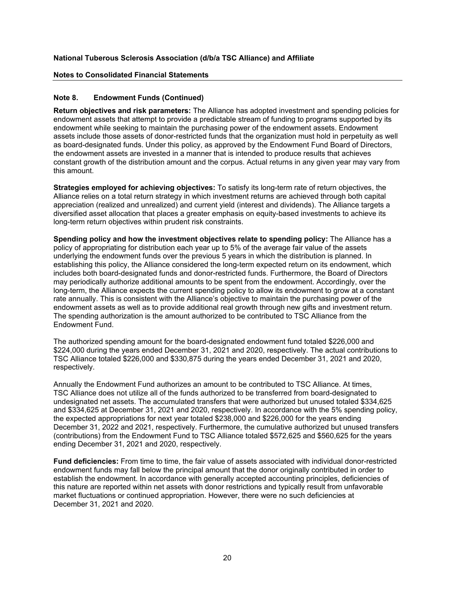## **Notes to Consolidated Financial Statements**

## **Note 8. Endowment Funds (Continued)**

**Return objectives and risk parameters:** The Alliance has adopted investment and spending policies for endowment assets that attempt to provide a predictable stream of funding to programs supported by its endowment while seeking to maintain the purchasing power of the endowment assets. Endowment assets include those assets of donor-restricted funds that the organization must hold in perpetuity as well as board-designated funds. Under this policy, as approved by the Endowment Fund Board of Directors, the endowment assets are invested in a manner that is intended to produce results that achieves constant growth of the distribution amount and the corpus. Actual returns in any given year may vary from this amount.

**Strategies employed for achieving objectives:** To satisfy its long-term rate of return objectives, the Alliance relies on a total return strategy in which investment returns are achieved through both capital appreciation (realized and unrealized) and current yield (interest and dividends). The Alliance targets a diversified asset allocation that places a greater emphasis on equity-based investments to achieve its long-term return objectives within prudent risk constraints.

**Spending policy and how the investment objectives relate to spending policy:** The Alliance has a policy of appropriating for distribution each year up to 5% of the average fair value of the assets underlying the endowment funds over the previous 5 years in which the distribution is planned. In establishing this policy, the Alliance considered the long-term expected return on its endowment, which includes both board-designated funds and donor-restricted funds. Furthermore, the Board of Directors may periodically authorize additional amounts to be spent from the endowment. Accordingly, over the long-term, the Alliance expects the current spending policy to allow its endowment to grow at a constant rate annually. This is consistent with the Alliance's objective to maintain the purchasing power of the endowment assets as well as to provide additional real growth through new gifts and investment return. The spending authorization is the amount authorized to be contributed to TSC Alliance from the Endowment Fund.

The authorized spending amount for the board-designated endowment fund totaled \$226,000 and \$224,000 during the years ended December 31, 2021 and 2020, respectively. The actual contributions to TSC Alliance totaled \$226,000 and \$330,875 during the years ended December 31, 2021 and 2020, respectively.

Annually the Endowment Fund authorizes an amount to be contributed to TSC Alliance. At times, TSC Alliance does not utilize all of the funds authorized to be transferred from board-designated to undesignated net assets. The accumulated transfers that were authorized but unused totaled \$334,625 and \$334,625 at December 31, 2021 and 2020, respectively. In accordance with the 5% spending policy, the expected appropriations for next year totaled \$238,000 and \$226,000 for the years ending December 31, 2022 and 2021, respectively. Furthermore, the cumulative authorized but unused transfers (contributions) from the Endowment Fund to TSC Alliance totaled \$572,625 and \$560,625 for the years ending December 31, 2021 and 2020, respectively.

**Fund deficiencies:** From time to time, the fair value of assets associated with individual donor-restricted endowment funds may fall below the principal amount that the donor originally contributed in order to establish the endowment. In accordance with generally accepted accounting principles, deficiencies of this nature are reported within net assets with donor restrictions and typically result from unfavorable market fluctuations or continued appropriation. However, there were no such deficiencies at December 31, 2021 and 2020.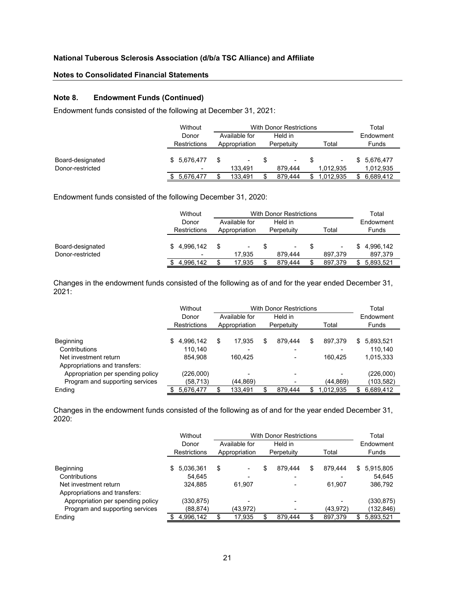# **Notes to Consolidated Financial Statements**

# **Note 8. Endowment Funds (Continued)**

Endowment funds consisted of the following at December 31, 2021:

|                                      | Without                                  | <b>With Donor Restrictions</b> |                                     |                |                               |  |  |
|--------------------------------------|------------------------------------------|--------------------------------|-------------------------------------|----------------|-------------------------------|--|--|
|                                      | Donor                                    | Available for                  | Held in                             |                | Endowment                     |  |  |
|                                      | Restrictions                             | Appropriation                  | Perpetuity                          | Total          | <b>Funds</b>                  |  |  |
| Board-designated<br>Donor-restricted | \$ 5,676,477<br>$\overline{\phantom{0}}$ | S<br>۰.<br>133.491             | $\overline{\phantom{a}}$<br>879.444 | ۰<br>1,012,935 | 5.676.477<br>SS.<br>1,012,935 |  |  |
|                                      | 5.676.477                                | 133.491                        | 879.444                             | 1,012,935      | 6.689.412                     |  |  |

Endowment funds consisted of the following December 31, 2020:

|                  | Without         | <b>With Donor Restrictions</b> |            |         |              |  |  |
|------------------|-----------------|--------------------------------|------------|---------|--------------|--|--|
|                  | Donor           | Available for                  | Held in    |         | Endowment    |  |  |
|                  | Restrictions    | Appropriation                  | Perpetuity | Total   | <b>Funds</b> |  |  |
|                  |                 |                                |            |         |              |  |  |
| Board-designated | 4,996,142<br>S. | ٠                              | ٠          | -       | 4,996,142    |  |  |
| Donor-restricted |                 | 17.935                         | 879.444    | 897.379 | 897.379      |  |  |
|                  | 4,996,142       | 17,935                         | 879.444    | 897,379 | 5,893,521    |  |  |

Changes in the endowment funds consisted of the following as of and for the year ended December 31, 2021:

|                                   |   | <b>With Donor Restrictions</b><br>Without |    |               |    |            |    |           |    | Total        |
|-----------------------------------|---|-------------------------------------------|----|---------------|----|------------|----|-----------|----|--------------|
|                                   |   | Donor                                     |    | Available for |    | Held in    |    |           |    | Endowment    |
|                                   |   | <b>Restrictions</b>                       |    | Appropriation |    | Perpetuity |    | Total     |    | <b>Funds</b> |
|                                   |   |                                           |    |               |    |            |    |           |    |              |
| Beginning                         | S | 4.996.142                                 | \$ | 17.935        | \$ | 879.444    | \$ | 897.379   | S. | 5,893,521    |
| Contributions                     |   | 110.140                                   |    |               |    |            |    |           |    | 110.140      |
| Net investment return             |   | 854.908                                   |    | 160.425       |    |            |    | 160.425   |    | 1,015,333    |
| Appropriations and transfers:     |   |                                           |    |               |    |            |    |           |    |              |
| Appropriation per spending policy |   | (226,000)                                 |    |               |    |            |    |           |    | (226,000)    |
| Program and supporting services   |   | (58,713)                                  |    | (44,869)      |    |            |    | (44, 869) |    | (103,582)    |
| Ending                            |   | 5,676,477                                 |    | 133,491       |    | 879,444    |    | 1,012,935 |    | 6,689,412    |

Changes in the endowment funds consisted of the following as of and for the year ended December 31, 2020:

|                                   |   | Without<br><b>With Donor Restrictions</b> |    |               |    |            |    |          |           | Total        |
|-----------------------------------|---|-------------------------------------------|----|---------------|----|------------|----|----------|-----------|--------------|
|                                   |   | Donor                                     |    | Available for |    | Held in    |    |          | Endowment |              |
|                                   |   | <b>Restrictions</b>                       |    | Appropriation |    | Perpetuity |    | Total    |           | <b>Funds</b> |
|                                   |   |                                           |    |               |    |            |    |          |           |              |
| <b>Beginning</b>                  | S | 5,036,361                                 | \$ | ٠             | \$ | 879.444    | \$ | 879.444  | \$        | 5,915,805    |
| Contributions                     |   | 54.645                                    |    |               |    |            |    |          |           | 54.645       |
| Net investment return             |   | 324.885                                   |    | 61.907        |    | -          |    | 61.907   |           | 386.792      |
| Appropriations and transfers:     |   |                                           |    |               |    |            |    |          |           |              |
| Appropriation per spending policy |   | (330,875)                                 |    |               |    |            |    |          |           | (330, 875)   |
| Program and supporting services   |   | (88,874)                                  |    | (43,972)      |    |            |    | (43,972) |           | (132,846)    |
| Ending                            |   | 4,996,142                                 |    | 17,935        |    | 879.444    |    | 897,379  | S         | 5,893,521    |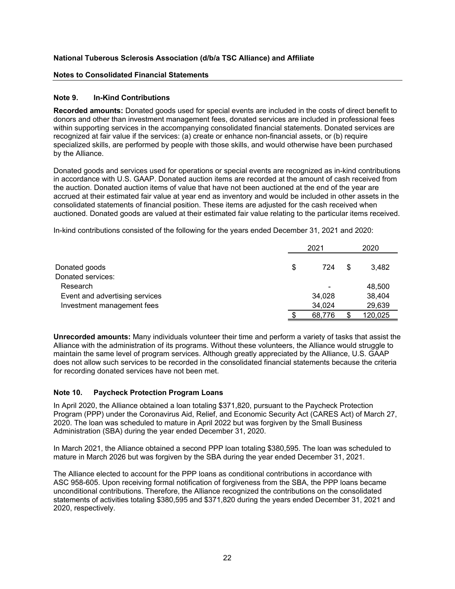#### **Notes to Consolidated Financial Statements**

## **Note 9. In-Kind Contributions**

**Recorded amounts:** Donated goods used for special events are included in the costs of direct benefit to donors and other than investment management fees, donated services are included in professional fees within supporting services in the accompanying consolidated financial statements. Donated services are recognized at fair value if the services: (a) create or enhance non-financial assets, or (b) require specialized skills, are performed by people with those skills, and would otherwise have been purchased by the Alliance.

Donated goods and services used for operations or special events are recognized as in-kind contributions in accordance with U.S. GAAP. Donated auction items are recorded at the amount of cash received from the auction. Donated auction items of value that have not been auctioned at the end of the year are accrued at their estimated fair value at year end as inventory and would be included in other assets in the consolidated statements of financial position. These items are adjusted for the cash received when auctioned. Donated goods are valued at their estimated fair value relating to the particular items received.

In-kind contributions consisted of the following for the years ended December 31, 2021 and 2020:

|                                |    | 2021   |   | 2020    |
|--------------------------------|----|--------|---|---------|
| Donated goods                  | \$ | 724    | S | 3,482   |
| Donated services:              |    |        |   |         |
| Research                       |    |        |   | 48,500  |
| Event and advertising services |    | 34,028 |   | 38,404  |
| Investment management fees     |    | 34,024 |   | 29,639  |
|                                | S  | 68,776 | S | 120,025 |

**Unrecorded amounts:** Many individuals volunteer their time and perform a variety of tasks that assist the Alliance with the administration of its programs. Without these volunteers, the Alliance would struggle to maintain the same level of program services. Although greatly appreciated by the Alliance, U.S. GAAP does not allow such services to be recorded in the consolidated financial statements because the criteria for recording donated services have not been met.

## **Note 10. Paycheck Protection Program Loans**

In April 2020, the Alliance obtained a loan totaling \$371,820, pursuant to the Paycheck Protection Program (PPP) under the Coronavirus Aid, Relief, and Economic Security Act (CARES Act) of March 27, 2020. The loan was scheduled to mature in April 2022 but was forgiven by the Small Business Administration (SBA) during the year ended December 31, 2020.

In March 2021, the Alliance obtained a second PPP loan totaling \$380,595. The loan was scheduled to mature in March 2026 but was forgiven by the SBA during the year ended December 31, 2021.

The Alliance elected to account for the PPP loans as conditional contributions in accordance with ASC 958-605. Upon receiving formal notification of forgiveness from the SBA, the PPP loans became unconditional contributions. Therefore, the Alliance recognized the contributions on the consolidated statements of activities totaling \$380,595 and \$371,820 during the years ended December 31, 2021 and 2020, respectively.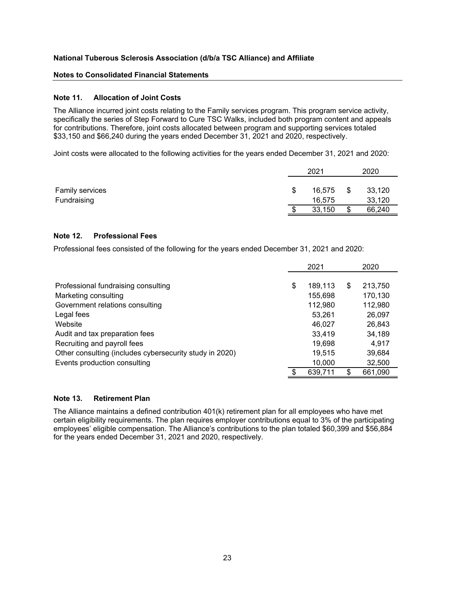#### **Notes to Consolidated Financial Statements**

#### **Note 11. Allocation of Joint Costs**

The Alliance incurred joint costs relating to the Family services program. This program service activity, specifically the series of Step Forward to Cure TSC Walks, included both program content and appeals for contributions. Therefore, joint costs allocated between program and supporting services totaled \$33,150 and \$66,240 during the years ended December 31, 2021 and 2020, respectively.

Joint costs were allocated to the following activities for the years ended December 31, 2021 and 2020:

|                                       | 2021                   |    | 2020             |  |
|---------------------------------------|------------------------|----|------------------|--|
| <b>Family services</b><br>Fundraising | \$<br>16.575<br>16.575 | \$ | 33,120<br>33,120 |  |
|                                       | \$<br>33,150           | S  | 66,240           |  |

#### **Note 12. Professional Fees**

Professional fees consisted of the following for the years ended December 31, 2021 and 2020:

|                                                         | 2021<br>2020  |    |         |
|---------------------------------------------------------|---------------|----|---------|
|                                                         |               |    |         |
| Professional fundraising consulting                     | \$<br>189,113 | \$ | 213,750 |
| Marketing consulting                                    | 155,698       |    | 170,130 |
| Government relations consulting                         | 112,980       |    | 112,980 |
| Legal fees                                              | 53,261        |    | 26,097  |
| Website                                                 | 46,027        |    | 26,843  |
| Audit and tax preparation fees                          | 33,419        |    | 34,189  |
| Recruiting and payroll fees                             | 19,698        |    | 4,917   |
| Other consulting (includes cybersecurity study in 2020) | 19,515        |    | 39,684  |
| Events production consulting                            | 10,000        |    | 32,500  |
|                                                         | 639,711       | \$ | 661,090 |

## **Note 13. Retirement Plan**

The Alliance maintains a defined contribution 401(k) retirement plan for all employees who have met certain eligibility requirements. The plan requires employer contributions equal to 3% of the participating employees' eligible compensation. The Alliance's contributions to the plan totaled \$60,399 and \$56,884 for the years ended December 31, 2021 and 2020, respectively.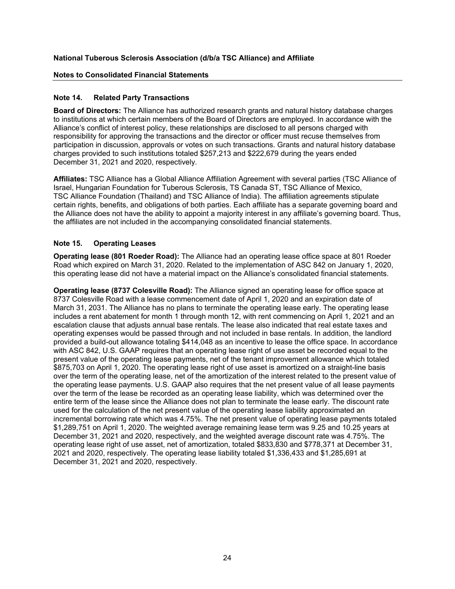## **Notes to Consolidated Financial Statements**

## **Note 14. Related Party Transactions**

**Board of Directors:** The Alliance has authorized research grants and natural history database charges to institutions at which certain members of the Board of Directors are employed. In accordance with the Alliance's conflict of interest policy, these relationships are disclosed to all persons charged with responsibility for approving the transactions and the director or officer must recuse themselves from participation in discussion, approvals or votes on such transactions. Grants and natural history database charges provided to such institutions totaled \$257,213 and \$222,679 during the years ended December 31, 2021 and 2020, respectively.

**Affiliates:** TSC Alliance has a Global Alliance Affiliation Agreement with several parties (TSC Alliance of Israel, Hungarian Foundation for Tuberous Sclerosis, TS Canada ST, TSC Alliance of Mexico, TSC Alliance Foundation (Thailand) and TSC Alliance of India). The affiliation agreements stipulate certain rights, benefits, and obligations of both parties. Each affiliate has a separate governing board and the Alliance does not have the ability to appoint a majority interest in any affiliate's governing board. Thus, the affiliates are not included in the accompanying consolidated financial statements.

# **Note 15. Operating Leases**

**Operating lease (801 Roeder Road):** The Alliance had an operating lease office space at 801 Roeder Road which expired on March 31, 2020. Related to the implementation of ASC 842 on January 1, 2020, this operating lease did not have a material impact on the Alliance's consolidated financial statements.

**Operating lease (8737 Colesville Road):** The Alliance signed an operating lease for office space at 8737 Colesville Road with a lease commencement date of April 1, 2020 and an expiration date of March 31, 2031. The Alliance has no plans to terminate the operating lease early. The operating lease includes a rent abatement for month 1 through month 12, with rent commencing on April 1, 2021 and an escalation clause that adjusts annual base rentals. The lease also indicated that real estate taxes and operating expenses would be passed through and not included in base rentals. In addition, the landlord provided a build-out allowance totaling \$414,048 as an incentive to lease the office space. In accordance with ASC 842, U.S. GAAP requires that an operating lease right of use asset be recorded equal to the present value of the operating lease payments, net of the tenant improvement allowance which totaled \$875,703 on April 1, 2020. The operating lease right of use asset is amortized on a straight-line basis over the term of the operating lease, net of the amortization of the interest related to the present value of the operating lease payments. U.S. GAAP also requires that the net present value of all lease payments over the term of the lease be recorded as an operating lease liability, which was determined over the entire term of the lease since the Alliance does not plan to terminate the lease early. The discount rate used for the calculation of the net present value of the operating lease liability approximated an incremental borrowing rate which was 4.75%. The net present value of operating lease payments totaled \$1,289,751 on April 1, 2020. The weighted average remaining lease term was 9.25 and 10.25 years at December 31, 2021 and 2020, respectively, and the weighted average discount rate was 4.75%. The operating lease right of use asset, net of amortization, totaled \$833,830 and \$778,371 at December 31, 2021 and 2020, respectively. The operating lease liability totaled \$1,336,433 and \$1,285,691 at December 31, 2021 and 2020, respectively.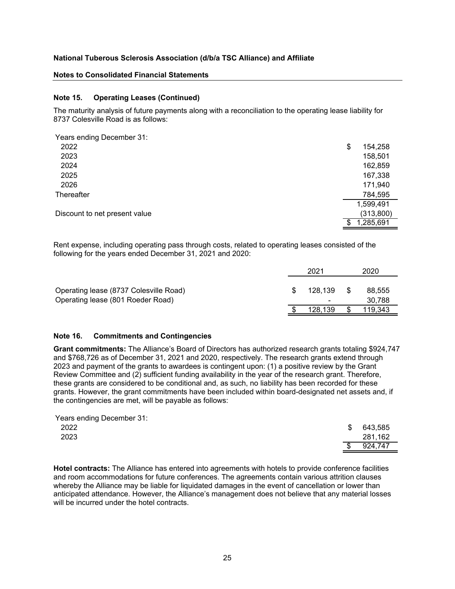# **Notes to Consolidated Financial Statements**

# **Note 15. Operating Leases (Continued)**

The maturity analysis of future payments along with a reconciliation to the operating lease liability for 8737 Colesville Road is as follows:

| Years ending December 31:     |     |           |
|-------------------------------|-----|-----------|
| 2022                          | \$  | 154,258   |
| 2023                          |     | 158,501   |
| 2024                          |     | 162,859   |
| 2025                          |     | 167,338   |
| 2026                          |     | 171,940   |
| Thereafter                    |     | 784,595   |
|                               |     | 1,599,491 |
| Discount to net present value |     | (313,800) |
|                               | \$. | 1,285,691 |

Rent expense, including operating pass through costs, related to operating leases consisted of the following for the years ended December 31, 2021 and 2020:

|                                                                             | 2021 |                           |      | 2020             |
|-----------------------------------------------------------------------------|------|---------------------------|------|------------------|
| Operating lease (8737 Colesville Road)<br>Operating lease (801 Roeder Road) |      | 128.139<br>$\blacksquare$ | - \$ | 88.555<br>30.788 |
|                                                                             |      | 128.139                   |      | 119,343          |

# **Note 16. Commitments and Contingencies**

**Grant commitments:** The Alliance's Board of Directors has authorized research grants totaling \$924,747 and \$768,726 as of December 31, 2021 and 2020, respectively. The research grants extend through 2023 and payment of the grants to awardees is contingent upon: (1) a positive review by the Grant Review Committee and (2) sufficient funding availability in the year of the research grant. Therefore, these grants are considered to be conditional and, as such, no liability has been recorded for these grants. However, the grant commitments have been included within board-designated net assets and, if the contingencies are met, will be payable as follows:

| Years ending December 31: |      |         |
|---------------------------|------|---------|
| 2022                      | S.   | 643,585 |
| 2023                      |      | 281,162 |
|                           | - \$ | 924.747 |

**Hotel contracts:** The Alliance has entered into agreements with hotels to provide conference facilities and room accommodations for future conferences. The agreements contain various attrition clauses whereby the Alliance may be liable for liquidated damages in the event of cancellation or lower than anticipated attendance. However, the Alliance's management does not believe that any material losses will be incurred under the hotel contracts.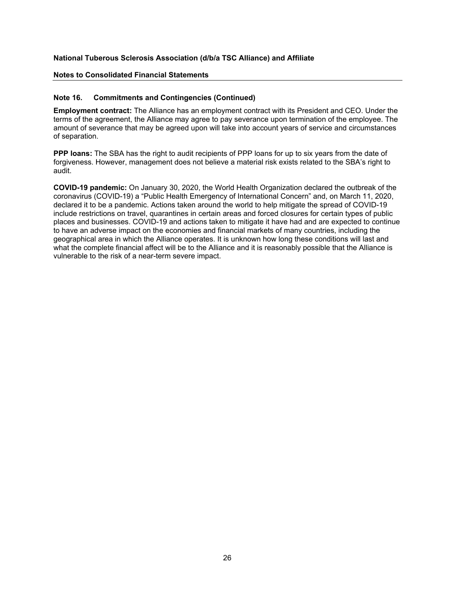## **Notes to Consolidated Financial Statements**

## **Note 16. Commitments and Contingencies (Continued)**

**Employment contract:** The Alliance has an employment contract with its President and CEO. Under the terms of the agreement, the Alliance may agree to pay severance upon termination of the employee. The amount of severance that may be agreed upon will take into account years of service and circumstances of separation.

**PPP loans:** The SBA has the right to audit recipients of PPP loans for up to six years from the date of forgiveness. However, management does not believe a material risk exists related to the SBA's right to audit.

**COVID-19 pandemic:** On January 30, 2020, the World Health Organization declared the outbreak of the coronavirus (COVID-19) a "Public Health Emergency of International Concern" and, on March 11, 2020, declared it to be a pandemic. Actions taken around the world to help mitigate the spread of COVID-19 include restrictions on travel, quarantines in certain areas and forced closures for certain types of public places and businesses. COVID-19 and actions taken to mitigate it have had and are expected to continue to have an adverse impact on the economies and financial markets of many countries, including the geographical area in which the Alliance operates. It is unknown how long these conditions will last and what the complete financial affect will be to the Alliance and it is reasonably possible that the Alliance is vulnerable to the risk of a near-term severe impact.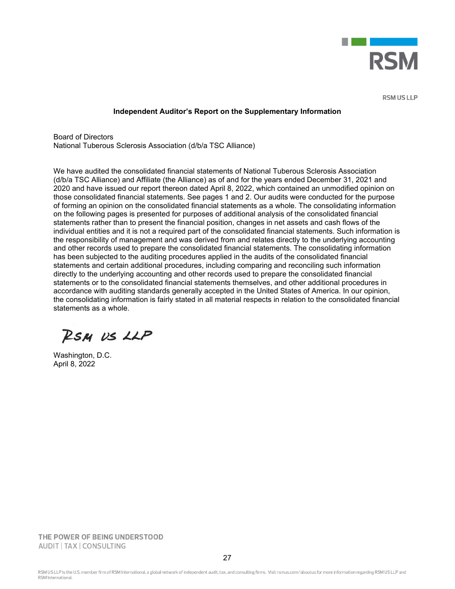

**RSM US LLP** 

#### **Independent Auditor's Report on the Supplementary Information**

Board of Directors National Tuberous Sclerosis Association (d/b/a TSC Alliance)

We have audited the consolidated financial statements of National Tuberous Sclerosis Association (d/b/a TSC Alliance) and Affiliate (the Alliance) as of and for the years ended December 31, 2021 and 2020 and have issued our report thereon dated April 8, 2022, which contained an unmodified opinion on those consolidated financial statements. See pages 1 and 2. Our audits were conducted for the purpose of forming an opinion on the consolidated financial statements as a whole. The consolidating information on the following pages is presented for purposes of additional analysis of the consolidated financial statements rather than to present the financial position, changes in net assets and cash flows of the individual entities and it is not a required part of the consolidated financial statements. Such information is the responsibility of management and was derived from and relates directly to the underlying accounting and other records used to prepare the consolidated financial statements. The consolidating information has been subjected to the auditing procedures applied in the audits of the consolidated financial statements and certain additional procedures, including comparing and reconciling such information directly to the underlying accounting and other records used to prepare the consolidated financial statements or to the consolidated financial statements themselves, and other additional procedures in accordance with auditing standards generally accepted in the United States of America. In our opinion, the consolidating information is fairly stated in all material respects in relation to the consolidated financial statements as a whole.

RSM US LLP

Washington, D.C. April 8, 2022

THE POWER OF BEING UNDERSTOOD AUDIT | TAX | CONSULTING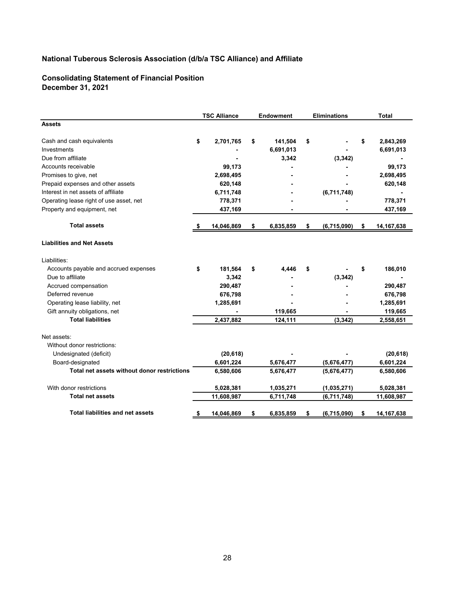# **Consolidating Statement of Financial Position December 31, 2021**

|                                             |    | <b>TSC Alliance</b> | <b>Endowment</b> | <b>Eliminations</b> | <b>Total</b>       |  |
|---------------------------------------------|----|---------------------|------------------|---------------------|--------------------|--|
| <b>Assets</b>                               |    |                     |                  |                     |                    |  |
| Cash and cash equivalents                   | \$ | 2,701,765           | \$<br>141,504    | \$                  | \$<br>2,843,269    |  |
| Investments                                 |    |                     | 6,691,013        |                     | 6,691,013          |  |
| Due from affiliate                          |    |                     | 3,342            | (3, 342)            |                    |  |
| Accounts receivable                         |    | 99,173              |                  |                     | 99,173             |  |
| Promises to give, net                       |    | 2,698,495           |                  |                     | 2,698,495          |  |
| Prepaid expenses and other assets           |    | 620,148             |                  |                     | 620,148            |  |
| Interest in net assets of affiliate         |    | 6,711,748           |                  | (6,711,748)         |                    |  |
| Operating lease right of use asset, net     |    | 778,371             |                  |                     | 778,371            |  |
| Property and equipment, net                 |    | 437,169             |                  |                     | 437,169            |  |
| <b>Total assets</b>                         |    | 14,046,869          | \$<br>6,835,859  | \$<br>(6,715,090)   | \$<br>14, 167, 638 |  |
| <b>Liabilities and Net Assets</b>           |    |                     |                  |                     |                    |  |
| Liabilities:                                |    |                     |                  |                     |                    |  |
| Accounts payable and accrued expenses       | \$ | 181,564             | \$<br>4.446      | \$                  | \$<br>186,010      |  |
| Due to affiliate                            |    | 3,342               |                  | (3, 342)            |                    |  |
| Accrued compensation                        |    | 290,487             |                  |                     | 290,487            |  |
| Deferred revenue                            |    | 676,798             |                  |                     | 676,798            |  |
| Operating lease liability, net              |    | 1,285,691           |                  |                     | 1,285,691          |  |
| Gift annuity obligations, net               |    |                     | 119,665          |                     | 119,665            |  |
| <b>Total liabilities</b>                    |    | 2,437,882           | 124,111          | (3, 342)            | 2,558,651          |  |
| Net assets:                                 |    |                     |                  |                     |                    |  |
| Without donor restrictions:                 |    |                     |                  |                     |                    |  |
| Undesignated (deficit)                      |    | (20, 618)           |                  |                     | (20, 618)          |  |
| Board-designated                            |    | 6,601,224           | 5,676,477        | (5,676,477)         | 6,601,224          |  |
| Total net assets without donor restrictions |    | 6,580,606           | 5,676,477        | (5,676,477)         | 6,580,606          |  |
| With donor restrictions                     |    | 5,028,381           | 1,035,271        | (1,035,271)         | 5,028,381          |  |
| <b>Total net assets</b>                     |    | 11,608,987          | 6,711,748        | (6,711,748)         | 11,608,987         |  |
| <b>Total liabilities and net assets</b>     | \$ | 14,046,869          | \$<br>6,835,859  | \$<br>(6,715,090)   | \$<br>14, 167, 638 |  |